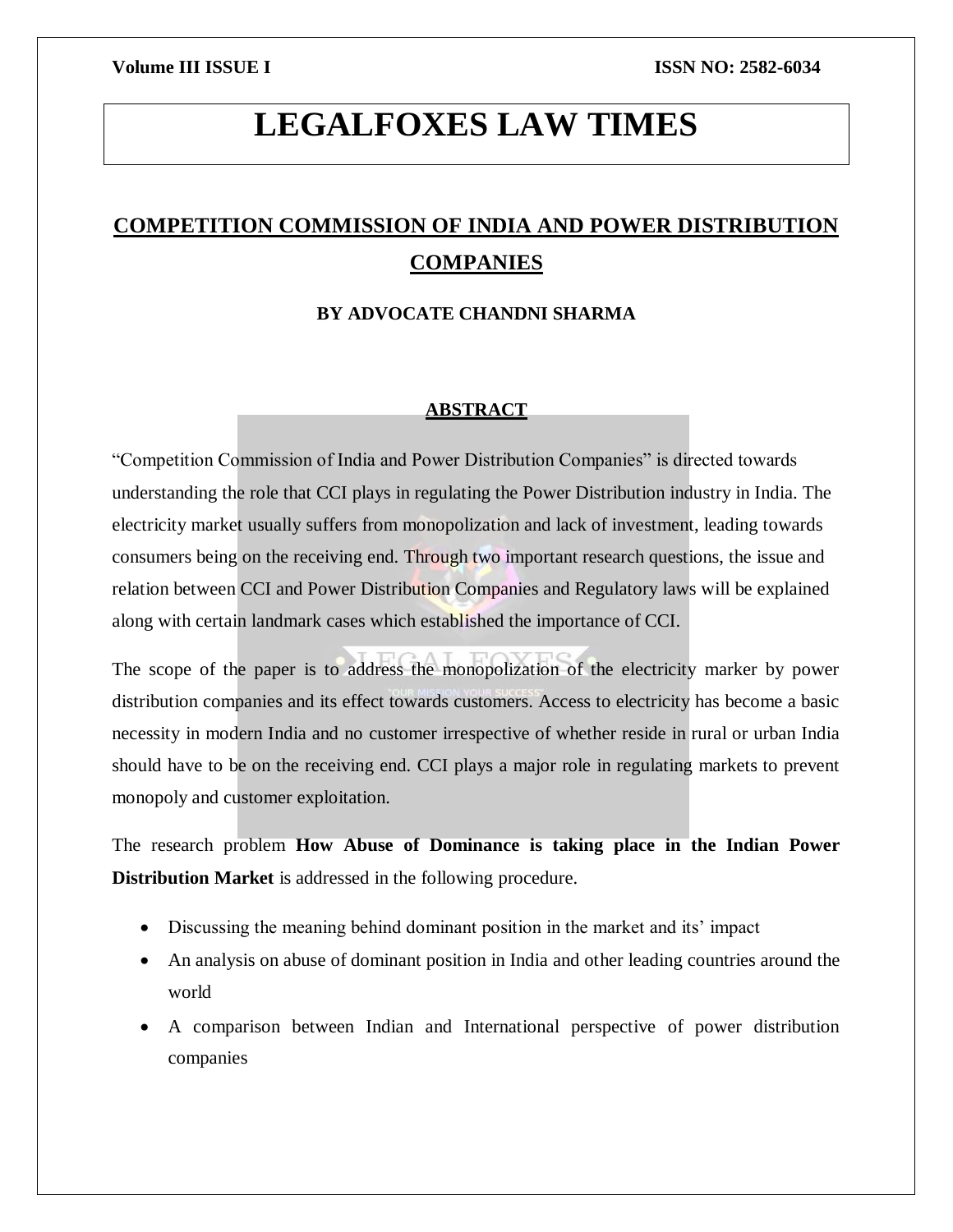# **LEGALFOXES LAW TIMES**

# **COMPETITION COMMISSION OF INDIA AND POWER DISTRIBUTION COMPANIES**

**BY ADVOCATE CHANDNI SHARMA**

### **ABSTRACT**

"Competition Commission of India and Power Distribution Companies" is directed towards understanding the role that CCI plays in regulating the Power Distribution industry in India. The electricity market usually suffers from monopolization and lack of investment, leading towards consumers being on the receiving end. Through two important research questions, the issue and relation between CCI and Power Distribution Companies and Regulatory laws will be explained along with certain landmark cases which established the importance of CCI.

The scope of the paper is to address the monopolization of the electricity marker by power distribution companies and its effect towards customers. Access to electricity has become a basic necessity in modern India and no customer irrespective of whether reside in rural or urban India should have to be on the receiving end. CCI plays a major role in regulating markets to prevent monopoly and customer exploitation.

The research problem **How Abuse of Dominance is taking place in the Indian Power Distribution Market** is addressed in the following procedure.

- Discussing the meaning behind dominant position in the market and its' impact
- An analysis on abuse of dominant position in India and other leading countries around the world
- A comparison between Indian and International perspective of power distribution companies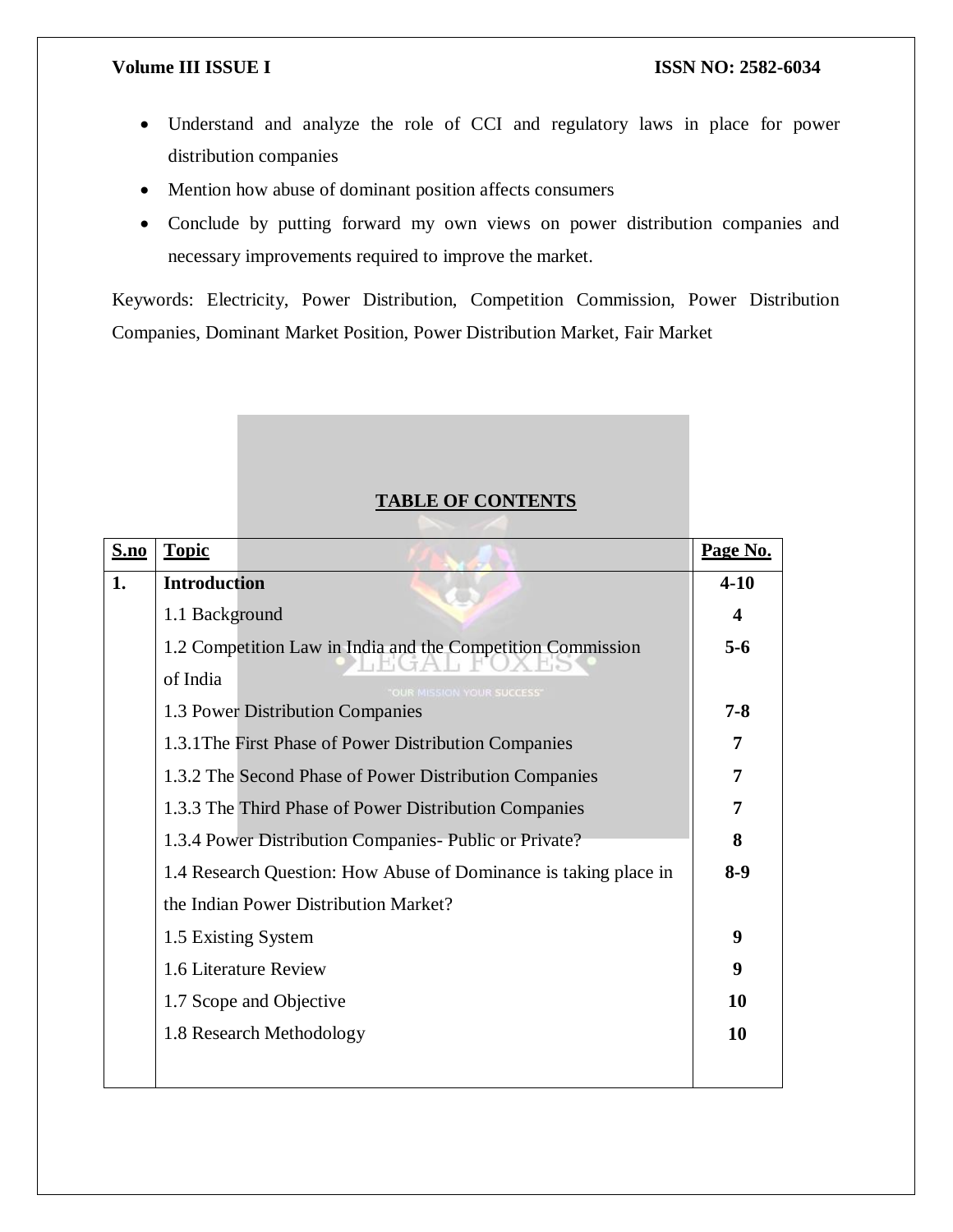- Understand and analyze the role of CCI and regulatory laws in place for power distribution companies
- Mention how abuse of dominant position affects consumers
- Conclude by putting forward my own views on power distribution companies and necessary improvements required to improve the market.

Keywords: Electricity, Power Distribution, Competition Commission, Power Distribution Companies, Dominant Market Position, Power Distribution Market, Fair Market

## **TABLE OF CONTENTS**

| S.no | <b>Topic</b>        |                                                                  | Page No.         |  |
|------|---------------------|------------------------------------------------------------------|------------------|--|
| 1.   | <b>Introduction</b> |                                                                  | $4 - 10$         |  |
|      | 1.1 Background      |                                                                  | $\boldsymbol{4}$ |  |
|      |                     | 1.2 Competition Law in India and the Competition Commission      | $5-6$            |  |
|      | of India            | <b>OUR MISSION YOUR SUCCESS*</b>                                 |                  |  |
|      |                     | 1.3 Power Distribution Companies                                 | $7 - 8$          |  |
|      |                     | 1.3.1 The First Phase of Power Distribution Companies            | 7                |  |
|      |                     | 1.3.2 The Second Phase of Power Distribution Companies           | 7                |  |
|      |                     | 1.3.3 The Third Phase of Power Distribution Companies            | 7                |  |
|      |                     | 1.3.4 Power Distribution Companies - Public or Private?          | 8                |  |
|      |                     | 1.4 Research Question: How Abuse of Dominance is taking place in |                  |  |
|      |                     | the Indian Power Distribution Market?                            |                  |  |
|      | 1.5 Existing System |                                                                  | 9                |  |
|      |                     | 1.6 Literature Review                                            | 9                |  |
|      |                     | 1.7 Scope and Objective                                          | 10               |  |
|      |                     | 1.8 Research Methodology                                         | 10               |  |
|      |                     |                                                                  |                  |  |
|      |                     |                                                                  |                  |  |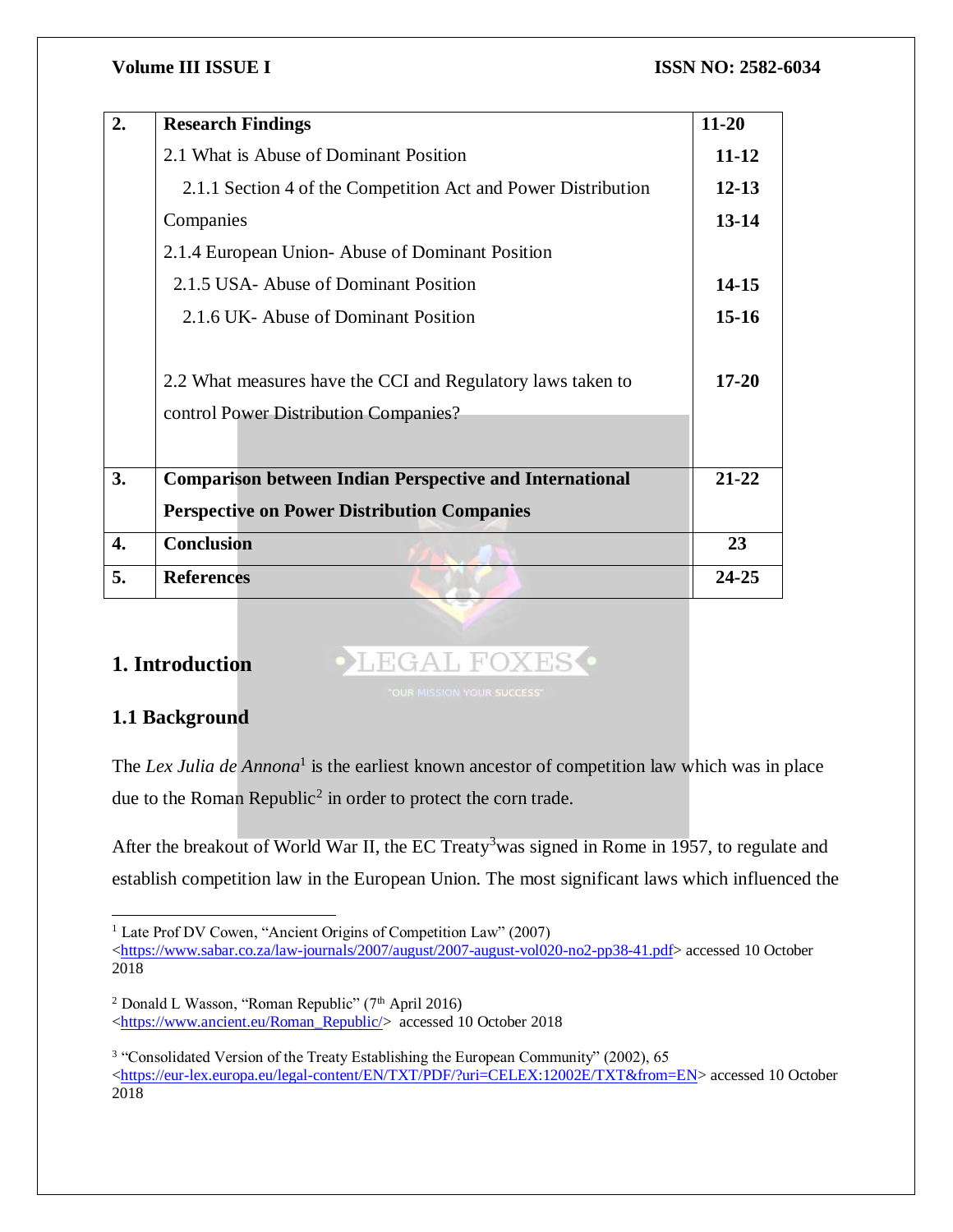| 2. | <b>Research Findings</b>                                       | $11 - 20$ |  |
|----|----------------------------------------------------------------|-----------|--|
|    | 2.1 What is Abuse of Dominant Position                         | $11 - 12$ |  |
|    | 2.1.1 Section 4 of the Competition Act and Power Distribution  | $12 - 13$ |  |
|    | Companies                                                      | $13 - 14$ |  |
|    | 2.1.4 European Union-Abuse of Dominant Position                |           |  |
|    | 2.1.5 USA- Abuse of Dominant Position                          | $14 - 15$ |  |
|    | 2.1.6 UK - Abuse of Dominant Position                          |           |  |
|    |                                                                |           |  |
|    | 2.2 What measures have the CCI and Regulatory laws taken to    | $17 - 20$ |  |
|    | control Power Distribution Companies?                          |           |  |
|    |                                                                |           |  |
| 3. | <b>Comparison between Indian Perspective and International</b> | $21 - 22$ |  |
|    | <b>Perspective on Power Distribution Companies</b>             |           |  |
| 4. | <b>Conclusion</b>                                              | 23        |  |
|    |                                                                |           |  |
| 5. | <b>References</b>                                              | $24 - 25$ |  |

## **1. Introduction**

LEGAL FOXES .

## **1.1 Background**

 $\overline{\phantom{a}}$ 

The *Lex Julia de Annona*<sup>1</sup> is the earliest known ancestor of competition law which was in place due to the Roman Republic<sup>2</sup> in order to protect the corn trade.

After the breakout of World War II, the EC Treaty<sup>3</sup> was signed in Rome in 1957, to regulate and establish competition law in the European Union. The most significant laws which influenced the

<sup>&</sup>lt;sup>1</sup> Late Prof DV Cowen, "Ancient Origins of Competition Law" (2007)

[<sup>&</sup>lt;https://www.sabar.co.za/law-journals/2007/august/2007-august-vol020-no2-pp38-41.pdf>](https://www.sabar.co.za/law-journals/2007/august/2007-august-vol020-no2-pp38-41.pdf) accessed 10 October 2018

<sup>&</sup>lt;sup>2</sup> Donald L Wasson, "Roman Republic" ( $7<sup>th</sup>$  April 2016)

[<sup>&</sup>lt;https://www.ancient.eu/Roman\\_Republic/>](https://www.ancient.eu/Roman_Republic/) accessed 10 October 2018

<sup>&</sup>lt;sup>3</sup> "Consolidated Version of the Treaty Establishing the European Community" (2002), 65 [<https://eur-lex.europa.eu/legal-content/EN/TXT/PDF/?uri=CELEX:12002E/TXT&from=EN>](https://eur-lex.europa.eu/legal-content/EN/TXT/PDF/?uri=CELEX:12002E/TXT&from=EN) accessed 10 October 2018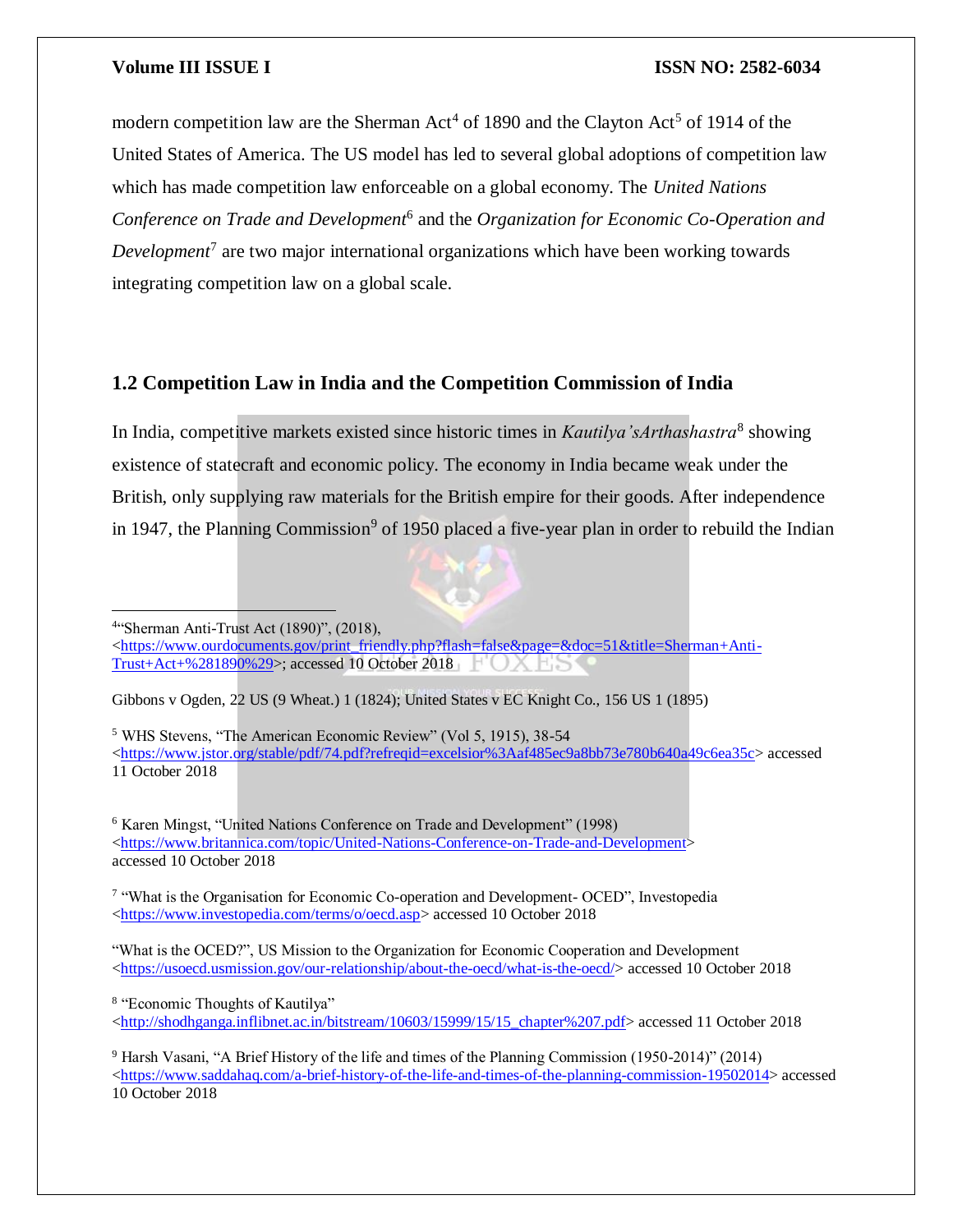$\overline{a}$ 

### **Volume III ISSUE I ISSN NO: 2582-6034**

modern competition law are the Sherman Act<sup>4</sup> of 1890 and the Clayton Act<sup>5</sup> of 1914 of the United States of America. The US model has led to several global adoptions of competition law which has made competition law enforceable on a global economy. The *United Nations*  Conference on Trade and Development<sup>6</sup> and the *Organization for Economic Co-Operation and Development*<sup>7</sup> are two major international organizations which have been working towards integrating competition law on a global scale.

## **1.2 Competition Law in India and the Competition Commission of India**

In India, competitive markets existed since historic times in *Kautilya'sArthashastra*<sup>8</sup> showing existence of statecraft and economic policy. The economy in India became weak under the British, only supplying raw materials for the British empire for their goods. After independence in 1947, the Planning Commission<sup>9</sup> of 1950 placed a five-year plan in order to rebuild the Indian

4 "Sherman Anti-Trust Act (1890)", (2018), [<https://www.ourdocuments.gov/print\\_friendly.php?flash=false&page=&doc=51&title=Sherman+Anti-](https://www.ourdocuments.gov/print_friendly.php?flash=false&page=&doc=51&title=Sherman+Anti-Trust+Act+%281890%29)[Trust+Act+%281890%29>](https://www.ourdocuments.gov/print_friendly.php?flash=false&page=&doc=51&title=Sherman+Anti-Trust+Act+%281890%29); accessed 10 October 2018

Gibbons v Ogden, 22 US (9 Wheat.) 1 (1824); United States v EC Knight Co., 156 US 1 (1895)

<sup>5</sup> WHS Stevens, "The American Economic Review" (Vol 5, 1915), 38-54 [<https://www.jstor.org/stable/pdf/74.pdf?refreqid=excelsior%3Aaf485ec9a8bb73e780b640a49c6ea35c>](https://www.jstor.org/stable/pdf/74.pdf?refreqid=excelsior%3Aaf485ec9a8bb73e780b640a49c6ea35c) accessed 11 October 2018

<sup>6</sup> Karen Mingst, "United Nations Conference on Trade and Development" (1998) [<https://www.britannica.com/topic/United-Nations-Conference-on-Trade-and-Development>](https://www.britannica.com/topic/United-Nations-Conference-on-Trade-and-Development) accessed 10 October 2018

<sup>7</sup> "What is the Organisation for Economic Co-operation and Development- OCED", Investopedia [<https://www.investopedia.com/terms/o/oecd.asp>](https://www.investopedia.com/terms/o/oecd.asp) accessed 10 October 2018

"What is the OCED?", US Mission to the Organization for Economic Cooperation and Development [<https://usoecd.usmission.gov/our-relationship/about-the-oecd/what-is-the-oecd/>](https://usoecd.usmission.gov/our-relationship/about-the-oecd/what-is-the-oecd/) accessed 10 October 2018

8 "Economic Thoughts of Kautilya" [<http://shodhganga.inflibnet.ac.in/bitstream/10603/15999/15/15\\_chapter%207.pdf>](http://shodhganga.inflibnet.ac.in/bitstream/10603/15999/15/15_chapter%207.pdf) accessed 11 October 2018

<sup>9</sup> Harsh Vasani, "A Brief History of the life and times of the Planning Commission (1950-2014)" (2014) [<https://www.saddahaq.com/a-brief-history-of-the-life-and-times-of-the-planning-commission-19502014>](https://www.saddahaq.com/a-brief-history-of-the-life-and-times-of-the-planning-commission-19502014) accessed 10 October 2018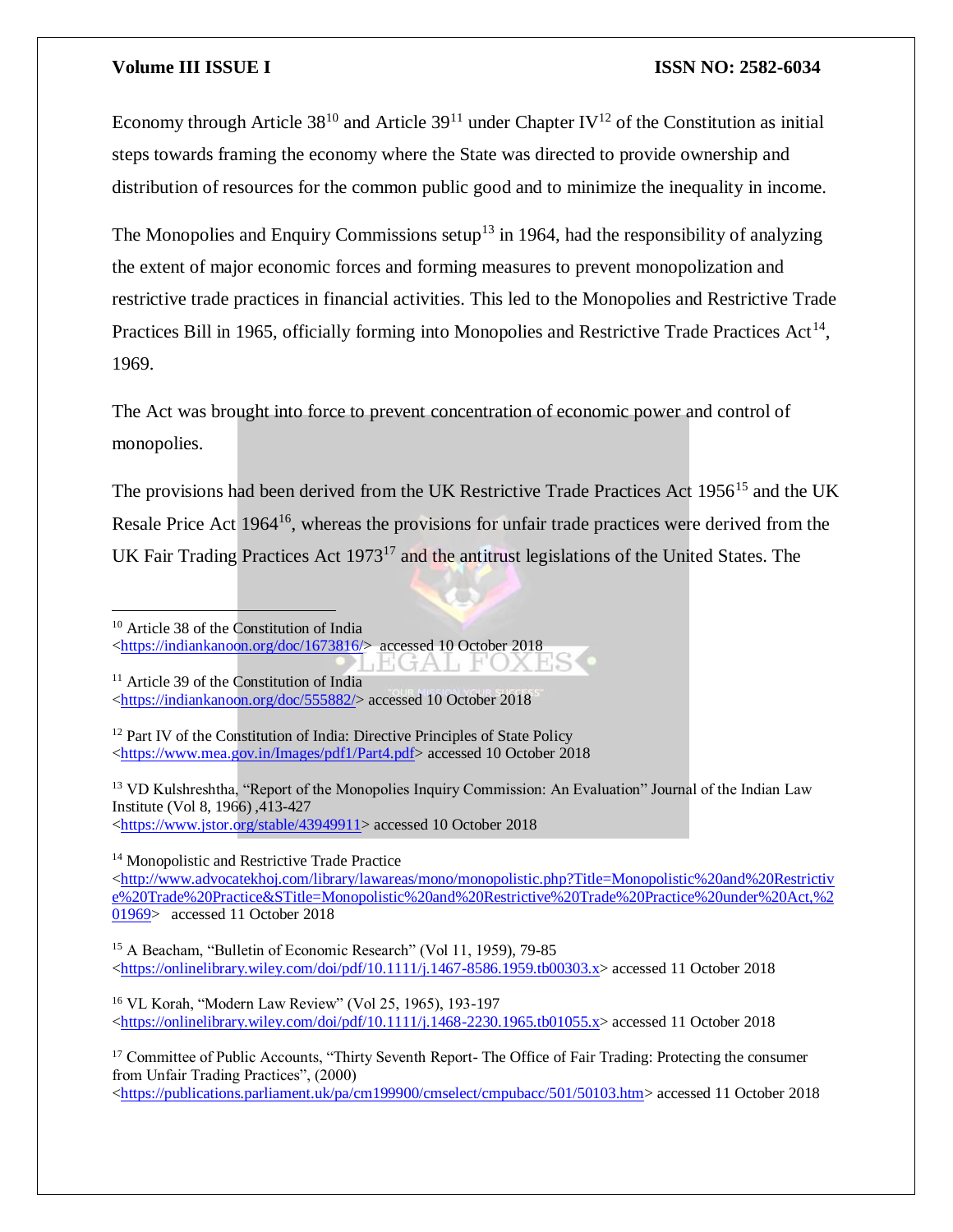$\overline{a}$ 

### **Volume III ISSUE I ISSN NO: 2582-6034**

Economy through Article  $38^{10}$  and Article  $39^{11}$  under Chapter IV<sup>12</sup> of the Constitution as initial steps towards framing the economy where the State was directed to provide ownership and distribution of resources for the common public good and to minimize the inequality in income.

The Monopolies and Enquiry Commissions setup<sup>13</sup> in 1964, had the responsibility of analyzing the extent of major economic forces and forming measures to prevent monopolization and restrictive trade practices in financial activities. This led to the Monopolies and Restrictive Trade Practices Bill in 1965, officially forming into Monopolies and Restrictive Trade Practices Act<sup>14</sup>, 1969.

The Act was brought into force to prevent concentration of economic power and control of monopolies.

The provisions had been derived from the UK Restrictive Trade Practices Act 1956<sup>15</sup> and the UK Resale Price Act 1964<sup>16</sup>, whereas the provisions for unfair trade practices were derived from the UK Fair Trading Practices Act 1973<sup>17</sup> and the antitrust legislations of the United States. The

<sup>11</sup> Article 39 of the Constitution of India [<https://indiankanoon.org/doc/555882/>](https://indiankanoon.org/doc/555882/) accessed 10 October 2018

<sup>12</sup> Part IV of the Constitution of India: Directive Principles of State Policy [<https://www.mea.gov.in/Images/pdf1/Part4.pdf>](https://www.mea.gov.in/Images/pdf1/Part4.pdf) accessed 10 October 2018

<sup>13</sup> VD Kulshreshtha, "Report of the Monopolies Inquiry Commission: An Evaluation" Journal of the Indian Law Institute (Vol 8, 1966) ,413-427 [<https://www.jstor.org/stable/43949911>](https://www.jstor.org/stable/43949911) accessed 10 October 2018

<sup>14</sup> Monopolistic and Restrictive Trade Practice

 $\langle$ http://www.advocatekhoj.com/library/lawareas/mono/monopolistic.php?Title=Monopolistic%20and%20Restrictiv [e%20Trade%20Practice&STitle=Monopolistic%20and%20Restrictive%20Trade%20Practice%20under%20Act,%2](http://www.advocatekhoj.com/library/lawareas/mono/monopolistic.php?Title=Monopolistic%20and%20Restrictive%20Trade%20Practice&STitle=Monopolistic%20and%20Restrictive%20Trade%20Practice%20under%20Act,%201969) [01969>](http://www.advocatekhoj.com/library/lawareas/mono/monopolistic.php?Title=Monopolistic%20and%20Restrictive%20Trade%20Practice&STitle=Monopolistic%20and%20Restrictive%20Trade%20Practice%20under%20Act,%201969) accessed 11 October 2018

<sup>15</sup> A Beacham, "Bulletin of Economic Research" (Vol 11, 1959), 79-85 [<https://onlinelibrary.wiley.com/doi/pdf/10.1111/j.1467-8586.1959.tb00303.x>](https://onlinelibrary.wiley.com/doi/pdf/10.1111/j.1467-8586.1959.tb00303.x) accessed 11 October 2018

<sup>16</sup> VL Korah, "Modern Law Review" (Vol 25, 1965), 193-197  $\langle$ https://onlinelibrary.wiley.com/doi/pdf/10.1111/j.1468-2230.1965.tb01055.x> accessed 11 October 2018

<sup>17</sup> Committee of Public Accounts, "Thirty Seventh Report- The Office of Fair Trading: Protecting the consumer from Unfair Trading Practices", (2000)

[<https://publications.parliament.uk/pa/cm199900/cmselect/cmpubacc/501/50103.htm>](https://publications.parliament.uk/pa/cm199900/cmselect/cmpubacc/501/50103.htm) accessed 11 October 2018

<sup>&</sup>lt;sup>10</sup> Article 38 of the Constitution of India [<https://indiankanoon.org/doc/1673816/>](https://indiankanoon.org/doc/1673816/) accessed 10 October 2018 'I i EGA T F.C JX HSS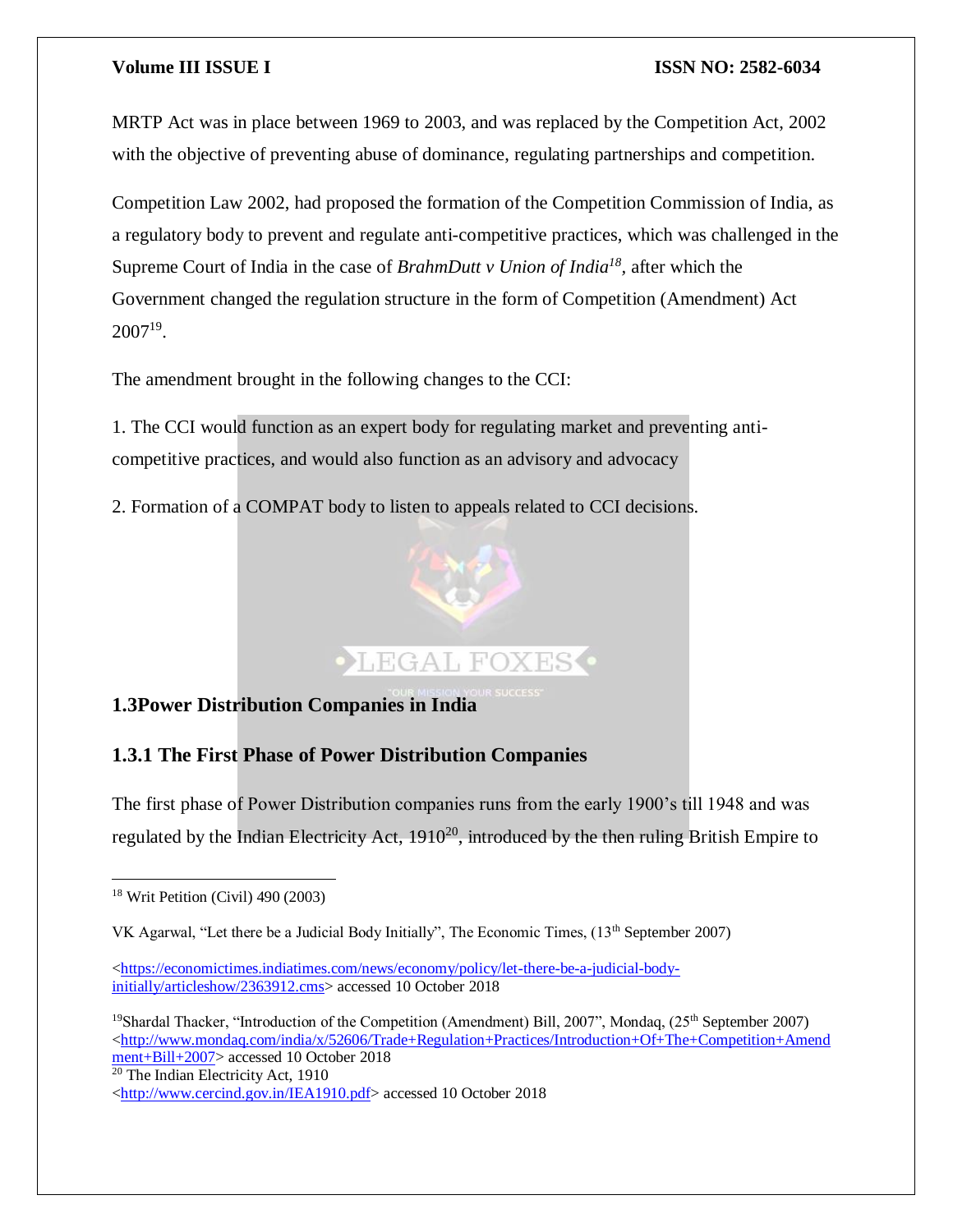MRTP Act was in place between 1969 to 2003, and was replaced by the Competition Act, 2002 with the objective of preventing abuse of dominance, regulating partnerships and competition.

Competition Law 2002, had proposed the formation of the Competition Commission of India, as a regulatory body to prevent and regulate anti-competitive practices, which was challenged in the Supreme Court of India in the case of *BrahmDutt v Union of India<sup>18</sup>*, after which the Government changed the regulation structure in the form of Competition (Amendment) Act 2007<sup>19</sup> .

The amendment brought in the following changes to the CCI:

1. The CCI would function as an expert body for regulating market and preventing anticompetitive practices, and would also function as an advisory and advocacy

2. Formation of a COMPAT body to listen to appeals related to CCI decisions.



## **1.3Power Distribution Companies in India**

## **1.3.1 The First Phase of Power Distribution Companies**

The first phase of Power Distribution companies runs from the early 1900's till 1948 and was regulated by the Indian Electricity Act, 1910<sup>20</sup>, introduced by the then ruling British Empire to

<sup>19</sup>Shardal Thacker, "Introduction of the Competition (Amendment) Bill, 2007", Mondaq,  $(25<sup>th</sup>$  September 2007)  $\text{chttp://www.mondaq.com/india/x/52606/Trade+Regularion+Practices/Introduction+Of+The+Competition+Amend$ [ment+Bill+2007>](http://www.mondaq.com/india/x/52606/Trade+Regulation+Practices/Introduction+Of+The+Competition+Amendment+Bill+2007) accessed 10 October 2018 <sup>20</sup> The Indian Electricity Act, 1910 [<http://www.cercind.gov.in/IEA1910.pdf>](http://www.cercind.gov.in/IEA1910.pdf) accessed 10 October 2018

 $\overline{a}$ <sup>18</sup> Writ Petition (Civil) 490 (2003)

VK Agarwal, "Let there be a Judicial Body Initially", The Economic Times, (13<sup>th</sup> September 2007)

[<sup>&</sup>lt;https://economictimes.indiatimes.com/news/economy/policy/let-there-be-a-judicial-body](https://economictimes.indiatimes.com/news/economy/policy/let-there-be-a-judicial-body-initially/articleshow/2363912.cms)[initially/articleshow/2363912.cms>](https://economictimes.indiatimes.com/news/economy/policy/let-there-be-a-judicial-body-initially/articleshow/2363912.cms) accessed 10 October 2018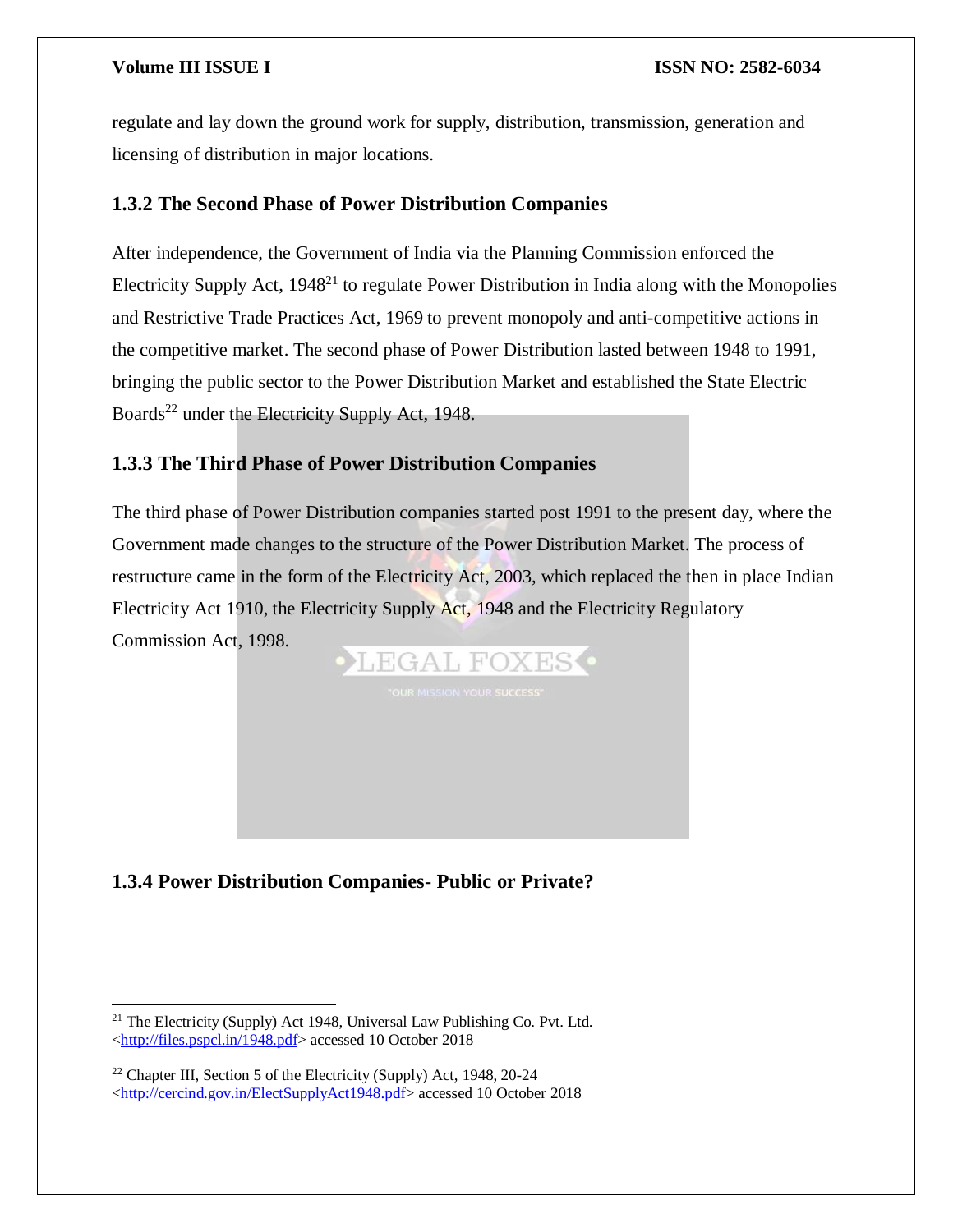regulate and lay down the ground work for supply, distribution, transmission, generation and licensing of distribution in major locations.

## **1.3.2 The Second Phase of Power Distribution Companies**

After independence, the Government of India via the Planning Commission enforced the Electricity Supply Act,  $1948<sup>21</sup>$  to regulate Power Distribution in India along with the Monopolies and Restrictive Trade Practices Act, 1969 to prevent monopoly and anti-competitive actions in the competitive market. The second phase of Power Distribution lasted between 1948 to 1991, bringing the public sector to the Power Distribution Market and established the State Electric Boards<sup>22</sup> under the Electricity Supply Act, 1948.

## **1.3.3 The Third Phase of Power Distribution Companies**

The third phase of Power Distribution companies started post 1991 to the present day, where the Government made changes to the structure of the Power Distribution Market. The process of restructure came in the form of the Electricity Act, 2003, which replaced the then in place Indian Electricity Act 1910, the Electricity Supply Act, 1948 and the Electricity Regulatory Commission Act, 1998.



## **1.3.4 Power Distribution Companies- Public or Private?**

 $\overline{a}$ <sup>21</sup> The Electricity (Supply) Act 1948, Universal Law Publishing Co. Pvt. Ltd. [<http://files.pspcl.in/1948.pdf>](http://files.pspcl.in/1948.pdf) accessed 10 October 2018

<sup>&</sup>lt;sup>22</sup> Chapter III, Section 5 of the Electricity (Supply) Act, 1948, 20-24 [<http://cercind.gov.in/ElectSupplyAct1948.pdf>](http://cercind.gov.in/ElectSupplyAct1948.pdf) accessed 10 October 2018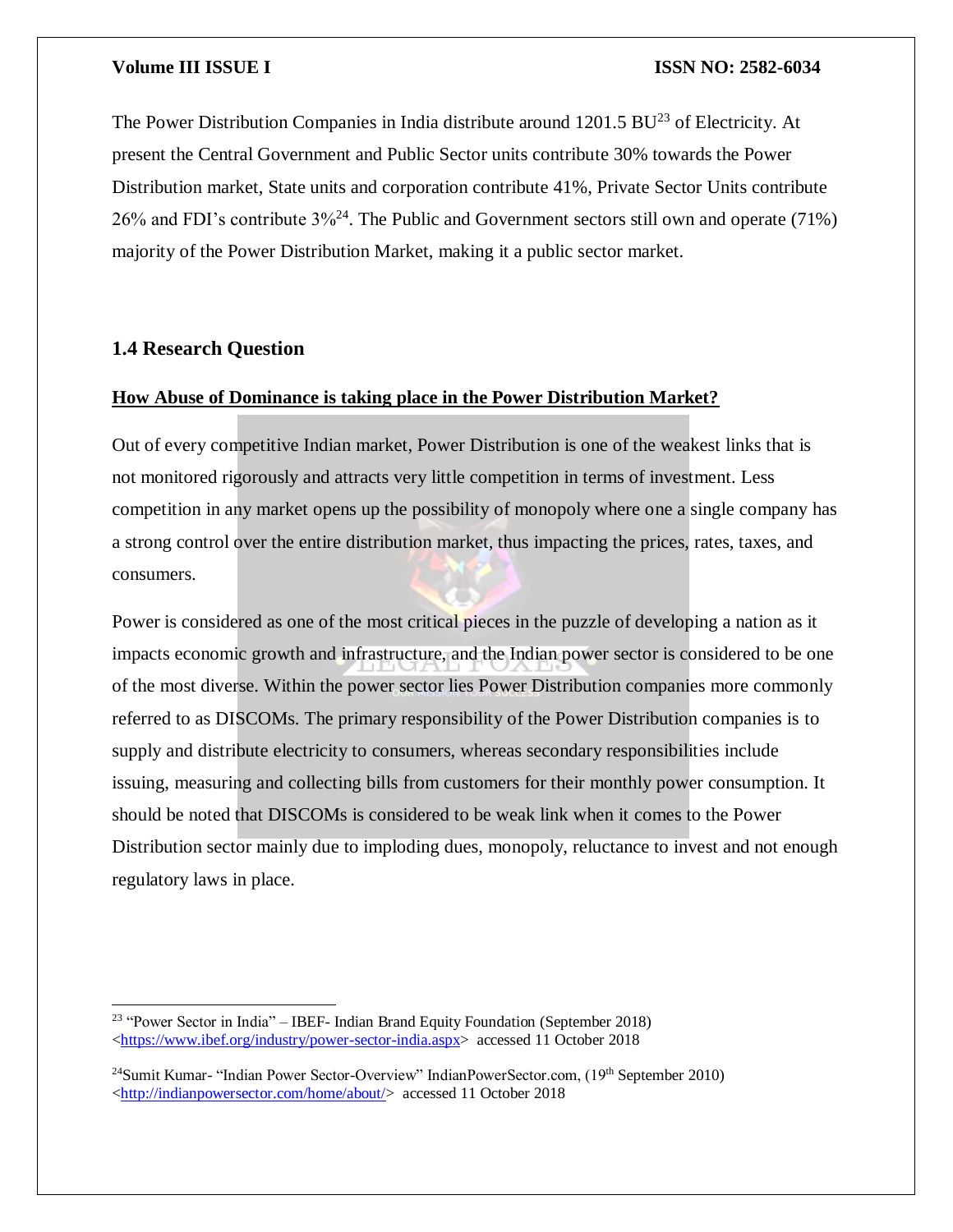The Power Distribution Companies in India distribute around  $1201.5 \text{ BU}^{23}$  of Electricity. At present the Central Government and Public Sector units contribute 30% towards the Power Distribution market, State units and corporation contribute 41%, Private Sector Units contribute 26% and FDI's contribute  $3\frac{24}{4}$ . The Public and Government sectors still own and operate (71%) majority of the Power Distribution Market, making it a public sector market.

## **1.4 Research Question**

 $\overline{a}$ 

## **How Abuse of Dominance is taking place in the Power Distribution Market?**

Out of every competitive Indian market, Power Distribution is one of the weakest links that is not monitored rigorously and attracts very little competition in terms of investment. Less competition in any market opens up the possibility of monopoly where one a single company has a strong control over the entire distribution market, thus impacting the prices, rates, taxes, and consumers.

Power is considered as one of the most critical pieces in the puzzle of developing a nation as it impacts economic growth and infrastructure, and the Indian power sector is considered to be one of the most diverse. Within the power sector lies Power Distribution companies more commonly referred to as DISCOMs. The primary responsibility of the Power Distribution companies is to supply and distribute electricity to consumers, whereas secondary responsibilities include issuing, measuring and collecting bills from customers for their monthly power consumption. It should be noted that DISCOMs is considered to be weak link when it comes to the Power Distribution sector mainly due to imploding dues, monopoly, reluctance to invest and not enough regulatory laws in place.

<sup>&</sup>lt;sup>23</sup> "Power Sector in India" – IBEF- Indian Brand Equity Foundation (September 2018) [<https://www.ibef.org/industry/power-sector-india.aspx>](https://www.ibef.org/industry/power-sector-india.aspx) accessed 11 October 2018

<sup>&</sup>lt;sup>24</sup>Sumit Kumar- "Indian Power Sector-Overview" IndianPowerSector.com,  $(19<sup>th</sup>$  September 2010) [<http://indianpowersector.com/home/about/>](http://indianpowersector.com/home/about/) accessed 11 October 2018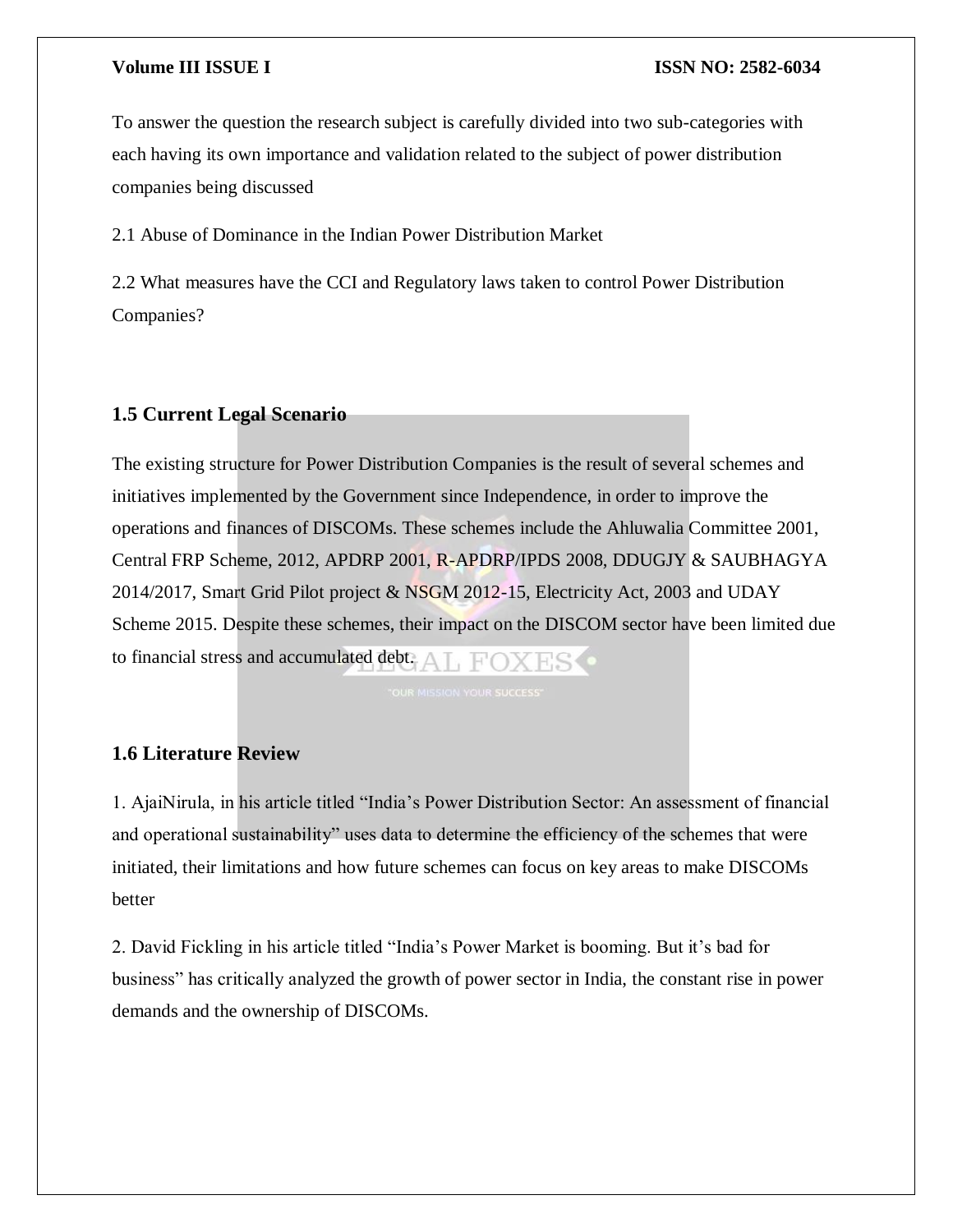To answer the question the research subject is carefully divided into two sub-categories with each having its own importance and validation related to the subject of power distribution companies being discussed

2.1 Abuse of Dominance in the Indian Power Distribution Market

2.2 What measures have the CCI and Regulatory laws taken to control Power Distribution Companies?

## **1.5 Current Legal Scenario**

The existing structure for Power Distribution Companies is the result of several schemes and initiatives implemented by the Government since Independence, in order to improve the operations and finances of DISCOMs. These schemes include the Ahluwalia Committee 2001, Central FRP Scheme, 2012, APDRP 2001, R-APDRP/IPDS 2008, DDUGJY & SAUBHAGYA 2014/2017, Smart Grid Pilot project & NSGM 2012-15, Electricity Act, 2003 and UDAY Scheme 2015. Despite these schemes, their impact on the DISCOM sector have been limited due to financial stress and accumulated debt.  $\overline{A}$   $\overline{A}$ 

## **1.6 Literature Review**

1. AjaiNirula, in his article titled "India's Power Distribution Sector: An assessment of financial and operational sustainability" uses data to determine the efficiency of the schemes that were initiated, their limitations and how future schemes can focus on key areas to make DISCOMs better

2. David Fickling in his article titled "India's Power Market is booming. But it's bad for business" has critically analyzed the growth of power sector in India, the constant rise in power demands and the ownership of DISCOMs.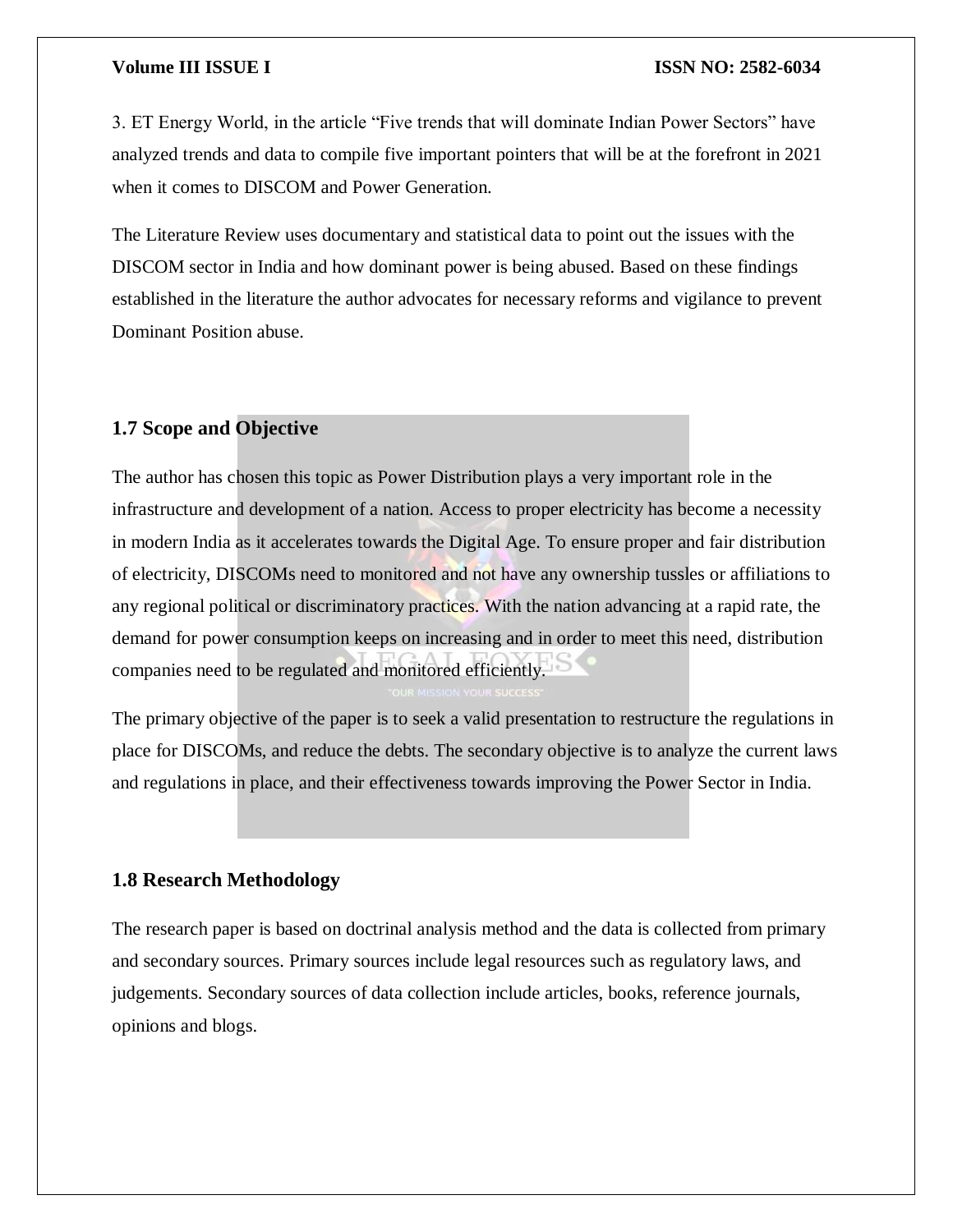3. ET Energy World, in the article "Five trends that will dominate Indian Power Sectors" have analyzed trends and data to compile five important pointers that will be at the forefront in 2021 when it comes to DISCOM and Power Generation.

The Literature Review uses documentary and statistical data to point out the issues with the DISCOM sector in India and how dominant power is being abused. Based on these findings established in the literature the author advocates for necessary reforms and vigilance to prevent Dominant Position abuse.

## **1.7 Scope and Objective**

The author has chosen this topic as Power Distribution plays a very important role in the infrastructure and development of a nation. Access to proper electricity has become a necessity in modern India as it accelerates towards the Digital Age. To ensure proper and fair distribution of electricity, DISCOMs need to monitored and not have any ownership tussles or affiliations to any regional political or discriminatory practices. With the nation advancing at a rapid rate, the demand for power consumption keeps on increasing and in order to meet this need, distribution companies need to be regulated and monitored efficiently.

The primary objective of the paper is to seek a valid presentation to restructure the regulations in place for DISCOMs, and reduce the debts. The secondary objective is to analyze the current laws and regulations in place, and their effectiveness towards improving the Power Sector in India.

## **1.8 Research Methodology**

The research paper is based on doctrinal analysis method and the data is collected from primary and secondary sources. Primary sources include legal resources such as regulatory laws, and judgements. Secondary sources of data collection include articles, books, reference journals, opinions and blogs.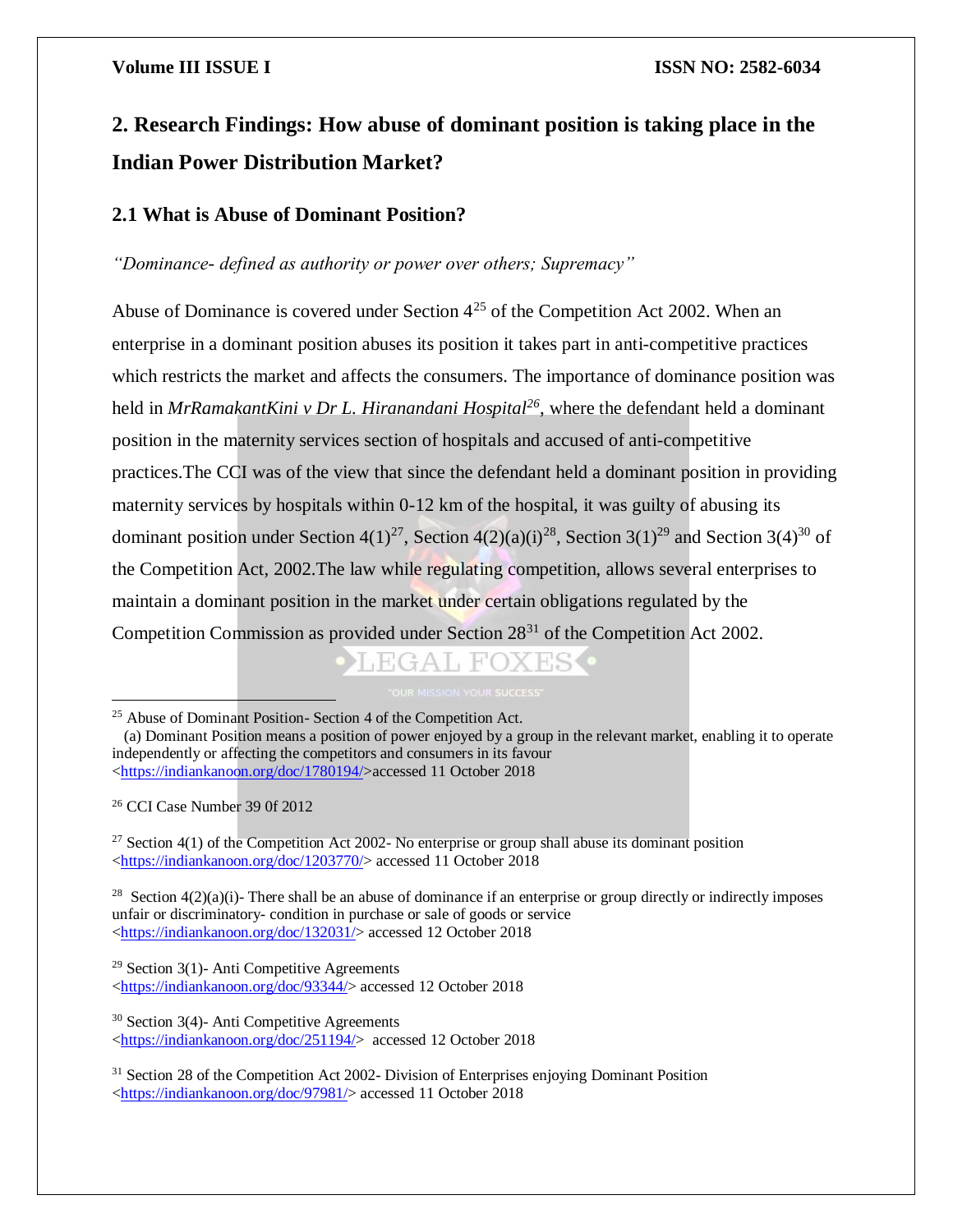# **2. Research Findings: How abuse of dominant position is taking place in the Indian Power Distribution Market?**

## **2.1 What is Abuse of Dominant Position?**

### *"Dominance- defined as authority or power over others; Supremacy"*

Abuse of Dominance is covered under Section  $4^{25}$  of the Competition Act 2002. When an enterprise in a dominant position abuses its position it takes part in anti-competitive practices which restricts the market and affects the consumers. The importance of dominance position was held in *MrRamakantKini v Dr L. Hiranandani Hospital<sup>26</sup>*, where the defendant held a dominant position in the maternity services section of hospitals and accused of anti-competitive practices.The CCI was of the view that since the defendant held a dominant position in providing maternity services by hospitals within 0-12 km of the hospital, it was guilty of abusing its dominant position under Section 4(1)<sup>27</sup>, Section 4(2)(a)(i)<sup>28</sup>, Section 3(1)<sup>29</sup> and Section 3(4)<sup>30</sup> of the Competition Act, 2002.The law while regulating competition, allows several enterprises to maintain a dominant position in the market under certain obligations regulated by the Competition Commission as provided under Section 28<sup>31</sup> of the Competition Act 2002.

EGAL FOXES •

 $29$  Section 3(1)- Anti Competitive Agreements [<https://indiankanoon.org/doc/93344/>](https://indiankanoon.org/doc/93344/) accessed 12 October 2018

 $\overline{\phantom{a}}$ <sup>25</sup> Abuse of Dominant Position- Section 4 of the Competition Act.

 <sup>(</sup>a) Dominant Position means a position of power enjoyed by a group in the relevant market, enabling it to operate independently or affecting the competitors and consumers in its favour [<https://indiankanoon.org/doc/1780194/>](https://indiankanoon.org/doc/1780194/)accessed 11 October 2018

<sup>26</sup> CCI Case Number 39 0f 2012

<sup>&</sup>lt;sup>27</sup> Section 4(1) of the Competition Act 2002- No enterprise or group shall abuse its dominant position [<https://indiankanoon.org/doc/1203770/>](https://indiankanoon.org/doc/1203770/) accessed 11 October 2018

<sup>&</sup>lt;sup>28</sup> Section  $4(2)(a)(i)$ - There shall be an abuse of dominance if an enterprise or group directly or indirectly imposes unfair or discriminatory- condition in purchase or sale of goods or service [<https://indiankanoon.org/doc/132031/>](https://indiankanoon.org/doc/132031/) accessed 12 October 2018

<sup>30</sup> Section 3(4)- Anti Competitive Agreements [<https://indiankanoon.org/doc/251194/>](https://indiankanoon.org/doc/251194/) accessed 12 October 2018

<sup>&</sup>lt;sup>31</sup> Section 28 of the Competition Act 2002- Division of Enterprises enjoying Dominant Position [<https://indiankanoon.org/doc/97981/>](https://indiankanoon.org/doc/97981/) accessed 11 October 2018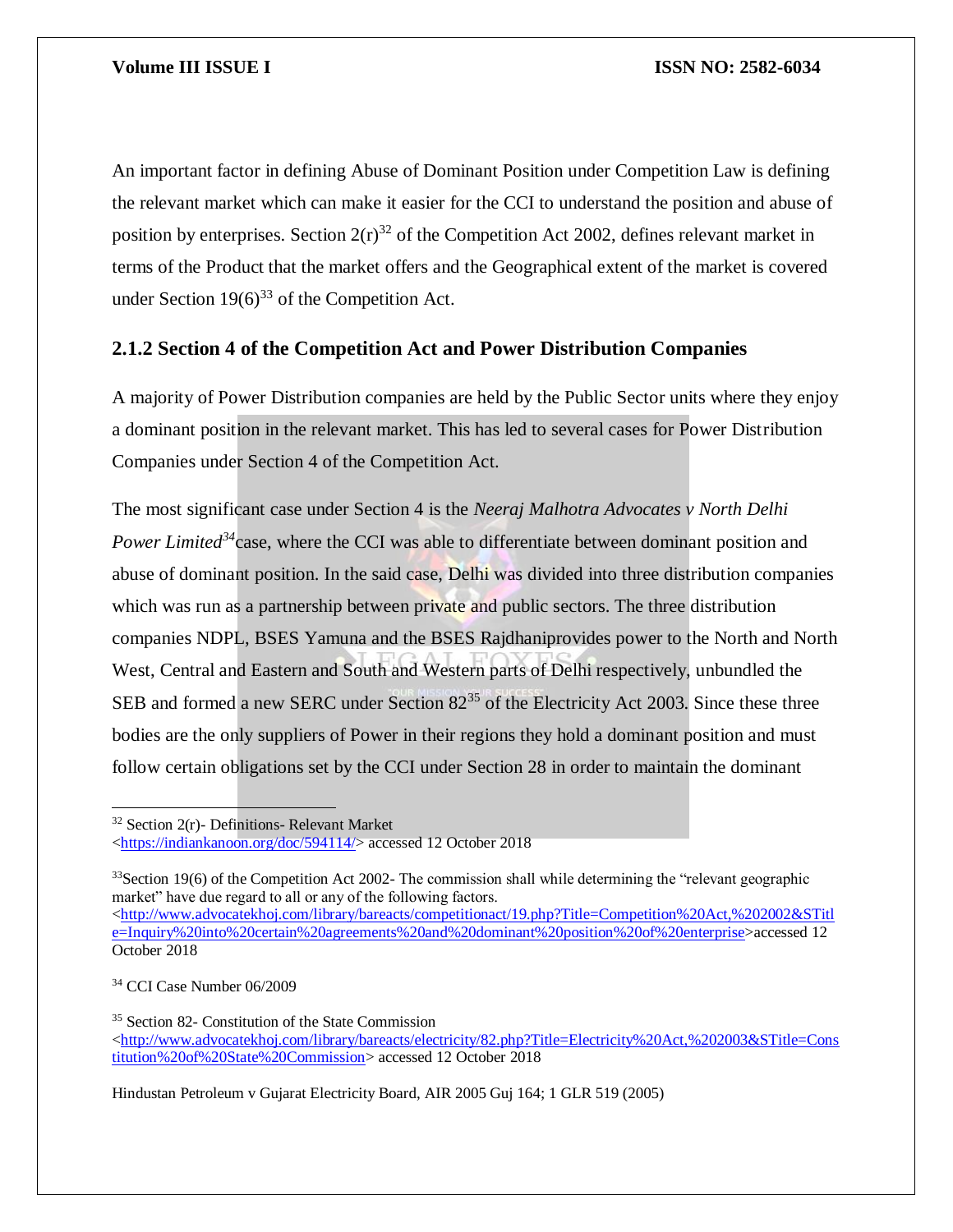An important factor in defining Abuse of Dominant Position under Competition Law is defining the relevant market which can make it easier for the CCI to understand the position and abuse of position by enterprises. Section  $2(r)^{32}$  of the Competition Act 2002, defines relevant market in terms of the Product that the market offers and the Geographical extent of the market is covered under Section  $19(6)^{33}$  of the Competition Act.

## **2.1.2 Section 4 of the Competition Act and Power Distribution Companies**

A majority of Power Distribution companies are held by the Public Sector units where they enjoy a dominant position in the relevant market. This has led to several cases for Power Distribution Companies under Section 4 of the Competition Act.

The most significant case under Section 4 is the *Neeraj Malhotra Advocates v North Delhi Power Limited<sup>34</sup>*case, where the CCI was able to differentiate between dominant position and abuse of dominant position. In the said case, Delhi was divided into three distribution companies which was run as a partnership between private and public sectors. The three distribution companies NDPL, BSES Yamuna and the BSES Rajdhaniprovides power to the North and North West, Central and Eastern and South and Western parts of Delhi respectively, unbundled the SEB and formed a new SERC under Section  $82^{35}$  of the Electricity Act 2003. Since these three bodies are the only suppliers of Power in their regions they hold a dominant position and must follow certain obligations set by the CCI under Section 28 in order to maintain the dominant

 $\overline{a}$ <sup>32</sup> Section 2(r)- Definitions- Relevant Market

[<sup>&</sup>lt;https://indiankanoon.org/doc/594114/>](https://indiankanoon.org/doc/594114/) accessed 12 October 2018

 $33$ Section 19(6) of the Competition Act 2002- The commission shall while determining the "relevant geographic market" have due regard to all or any of the following factors.

[<sup>&</sup>lt;http://www.advocatekhoj.com/library/bareacts/competitionact/19.php?Title=Competition%20Act,%202002&STitl](http://www.advocatekhoj.com/library/bareacts/competitionact/19.php?Title=Competition%20Act,%202002&STitle=Inquiry%20into%20certain%20agreements%20and%20dominant%20position%20of%20enterprise) [e=Inquiry%20into%20certain%20agreements%20and%20dominant%20position%20of%20enterprise>](http://www.advocatekhoj.com/library/bareacts/competitionact/19.php?Title=Competition%20Act,%202002&STitle=Inquiry%20into%20certain%20agreements%20and%20dominant%20position%20of%20enterprise)accessed 12 October 2018

<sup>34</sup> CCI Case Number 06/2009

<sup>35</sup> Section 82- Constitution of the State Commission [<http://www.advocatekhoj.com/library/bareacts/electricity/82.php?Title=Electricity%20Act,%202003&STitle=Cons](http://www.advocatekhoj.com/library/bareacts/electricity/82.php?Title=Electricity%20Act,%202003&STitle=Constitution%20of%20State%20Commission) [titution%20of%20State%20Commission>](http://www.advocatekhoj.com/library/bareacts/electricity/82.php?Title=Electricity%20Act,%202003&STitle=Constitution%20of%20State%20Commission) accessed 12 October 2018

Hindustan Petroleum v Gujarat Electricity Board, AIR 2005 Guj 164; 1 GLR 519 (2005)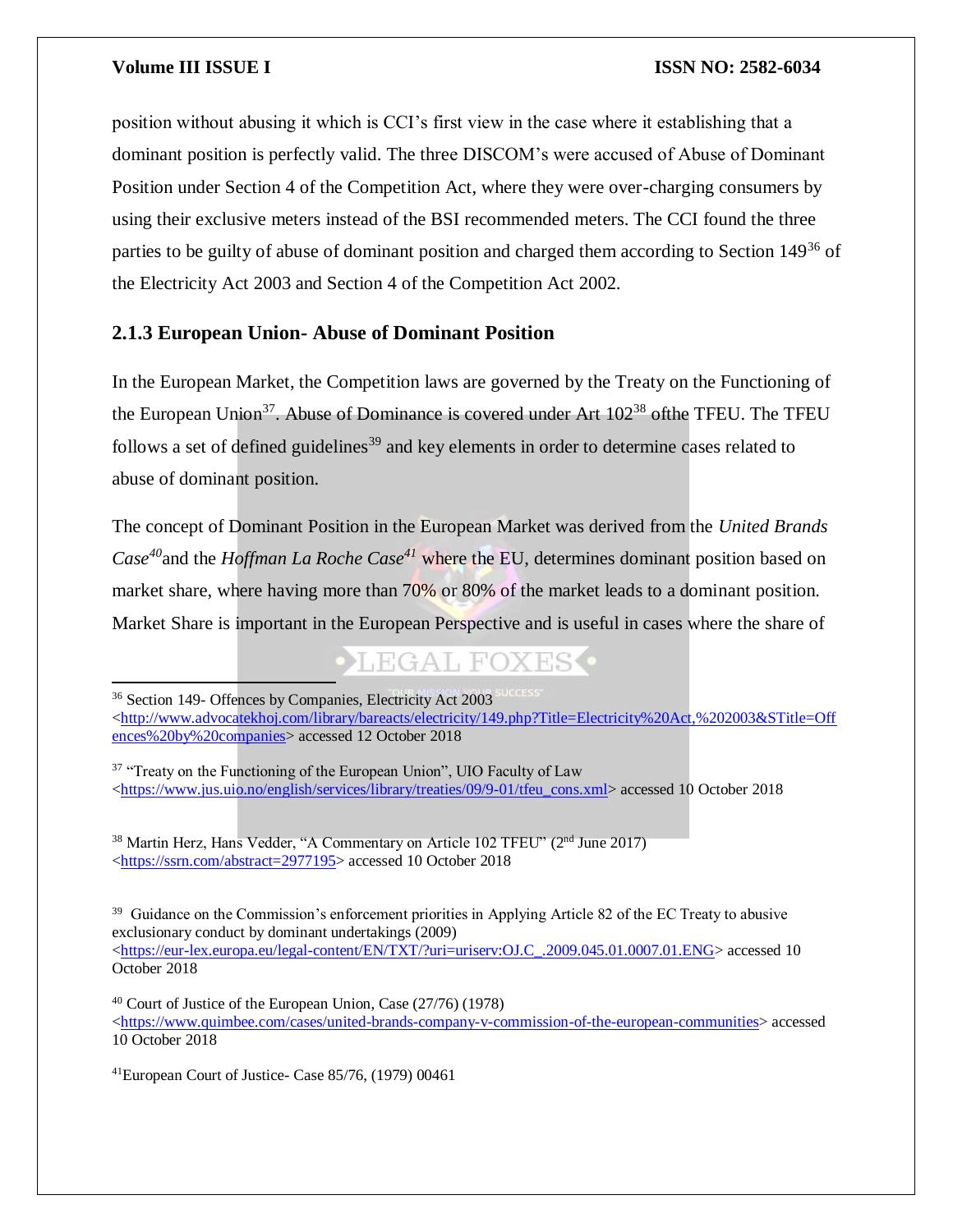$\overline{a}$ 

### **Volume III ISSUE I ISSN NO: 2582-6034**

position without abusing it which is CCI's first view in the case where it establishing that a dominant position is perfectly valid. The three DISCOM's were accused of Abuse of Dominant Position under Section 4 of the Competition Act, where they were over-charging consumers by using their exclusive meters instead of the BSI recommended meters. The CCI found the three parties to be guilty of abuse of dominant position and charged them according to Section 149<sup>36</sup> of the Electricity Act 2003 and Section 4 of the Competition Act 2002.

## **2.1.3 European Union- Abuse of Dominant Position**

In the European Market, the Competition laws are governed by the Treaty on the Functioning of the European Union<sup>37</sup>. Abuse of Dominance is covered under Art  $102^{38}$  of the TFEU. The TFEU follows a set of defined guidelines<sup>39</sup> and key elements in order to determine cases related to abuse of dominant position.

The concept of Dominant Position in the European Market was derived from the *United Brands Case<sup>40</sup>*and the *Hoffman La Roche Case<sup>41</sup>* where the EU, determines dominant position based on market share, where having more than 70% or 80% of the market leads to a dominant position. Market Share is important in the European Perspective and is useful in cases where the share of

## EGAL FOXES •

<sup>36</sup> Section 149- Offences by Companies, Electricity Act 2003 [<http://www.advocatekhoj.com/library/bareacts/electricity/149.php?Title=Electricity%20Act,%202003&STitle=Off](http://www.advocatekhoj.com/library/bareacts/electricity/149.php?Title=Electricity%20Act,%202003&STitle=Offences%20by%20companies) [ences%20by%20companies>](http://www.advocatekhoj.com/library/bareacts/electricity/149.php?Title=Electricity%20Act,%202003&STitle=Offences%20by%20companies) accessed 12 October 2018

<sup>37</sup> "Treaty on the Functioning of the European Union", UIO Faculty of Law [<https://www.jus.uio.no/english/services/library/treaties/09/9-01/tfeu\\_cons.xml>](https://www.jus.uio.no/english/services/library/treaties/09/9-01/tfeu_cons.xml) accessed 10 October 2018

<sup>38</sup> Martin Herz, Hans Vedder, "A Commentary on Article 102 TFEU" (2<sup>nd</sup> June 2017) [<https://ssrn.com/abstract=2977195>](https://ssrn.com/abstract=2977195) accessed 10 October 2018

<sup>39</sup> Guidance on the Commission's enforcement priorities in Applying Article 82 of the EC Treaty to abusive exclusionary conduct by dominant undertakings (2009) [<https://eur-lex.europa.eu/legal-content/EN/TXT/?uri=uriserv:OJ.C\\_.2009.045.01.0007.01.ENG>](https://eur-lex.europa.eu/legal-content/EN/TXT/?uri=uriserv:OJ.C_.2009.045.01.0007.01.ENG) accessed 10 October 2018

<sup>40</sup> Court of Justice of the European Union, Case (27/76) (1978) [<https://www.quimbee.com/cases/united-brands-company-v-commission-of-the-european-communities>](https://www.quimbee.com/cases/united-brands-company-v-commission-of-the-european-communities) accessed 10 October 2018

 $^{41}$ European Court of Justice- Case 85/76, (1979) 00461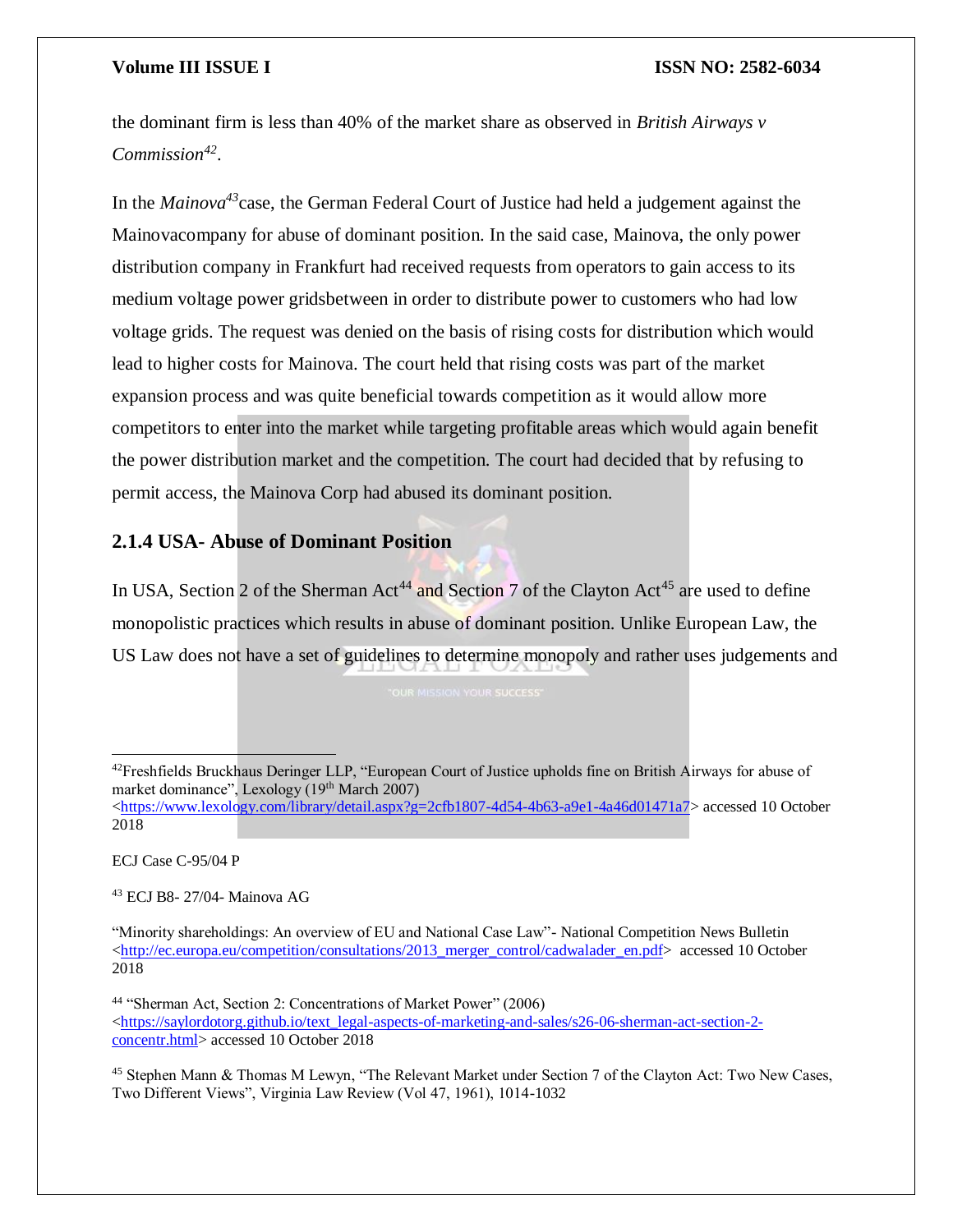the dominant firm is less than 40% of the market share as observed in *British Airways v Commission<sup>42</sup>* .

In the *Mainova<sup>43</sup>*case, the German Federal Court of Justice had held a judgement against the Mainovacompany for abuse of dominant position. In the said case, Mainova, the only power distribution company in Frankfurt had received requests from operators to gain access to its medium voltage power gridsbetween in order to distribute power to customers who had low voltage grids. The request was denied on the basis of rising costs for distribution which would lead to higher costs for Mainova. The court held that rising costs was part of the market expansion process and was quite beneficial towards competition as it would allow more competitors to enter into the market while targeting profitable areas which would again benefit the power distribution market and the competition. The court had decided that by refusing to permit access, the Mainova Corp had abused its dominant position.

## **2.1.4 USA- Abuse of Dominant Position**

In USA, Section 2 of the Sherman Act<sup>44</sup> and Section 7 of the Clayton Act<sup>45</sup> are used to define monopolistic practices which results in abuse of dominant position. Unlike European Law, the US Law does not have a set of guidelines to determine monopoly and rather uses judgements and

<sup>42</sup>Freshfields Bruckhaus Deringer LLP, "European Court of Justice upholds fine on British Airways for abuse of market dominance", Lexology (19<sup>th</sup> March 2007) [<https://www.lexology.com/library/detail.aspx?g=2cfb1807-4d54-4b63-a9e1-4a46d01471a7>](https://www.lexology.com/library/detail.aspx?g=2cfb1807-4d54-4b63-a9e1-4a46d01471a7) accessed 10 October

2018

ECJ Case C-95/04 P

 $\overline{\phantom{a}}$ 

<sup>43</sup> ECJ B8- 27/04- Mainova AG

<sup>&</sup>quot;Minority shareholdings: An overview of EU and National Case Law"- National Competition News Bulletin [<http://ec.europa.eu/competition/consultations/2013\\_merger\\_control/cadwalader\\_en.pdf>](http://ec.europa.eu/competition/consultations/2013_merger_control/cadwalader_en.pdf) accessed 10 October 2018

<sup>44</sup> "Sherman Act, Section 2: Concentrations of Market Power" (2006)  $\lt$ https://saylordotorg.github.io/text\_legal-aspects-of-marketing-and-sales/s26-06-sherman-act-section-2[concentr.html>](https://saylordotorg.github.io/text_legal-aspects-of-marketing-and-sales/s26-06-sherman-act-section-2-concentr.html) accessed 10 October 2018

<sup>45</sup> Stephen Mann & Thomas M Lewyn, "The Relevant Market under Section 7 of the Clayton Act: Two New Cases, Two Different Views", Virginia Law Review (Vol 47, 1961), 1014-1032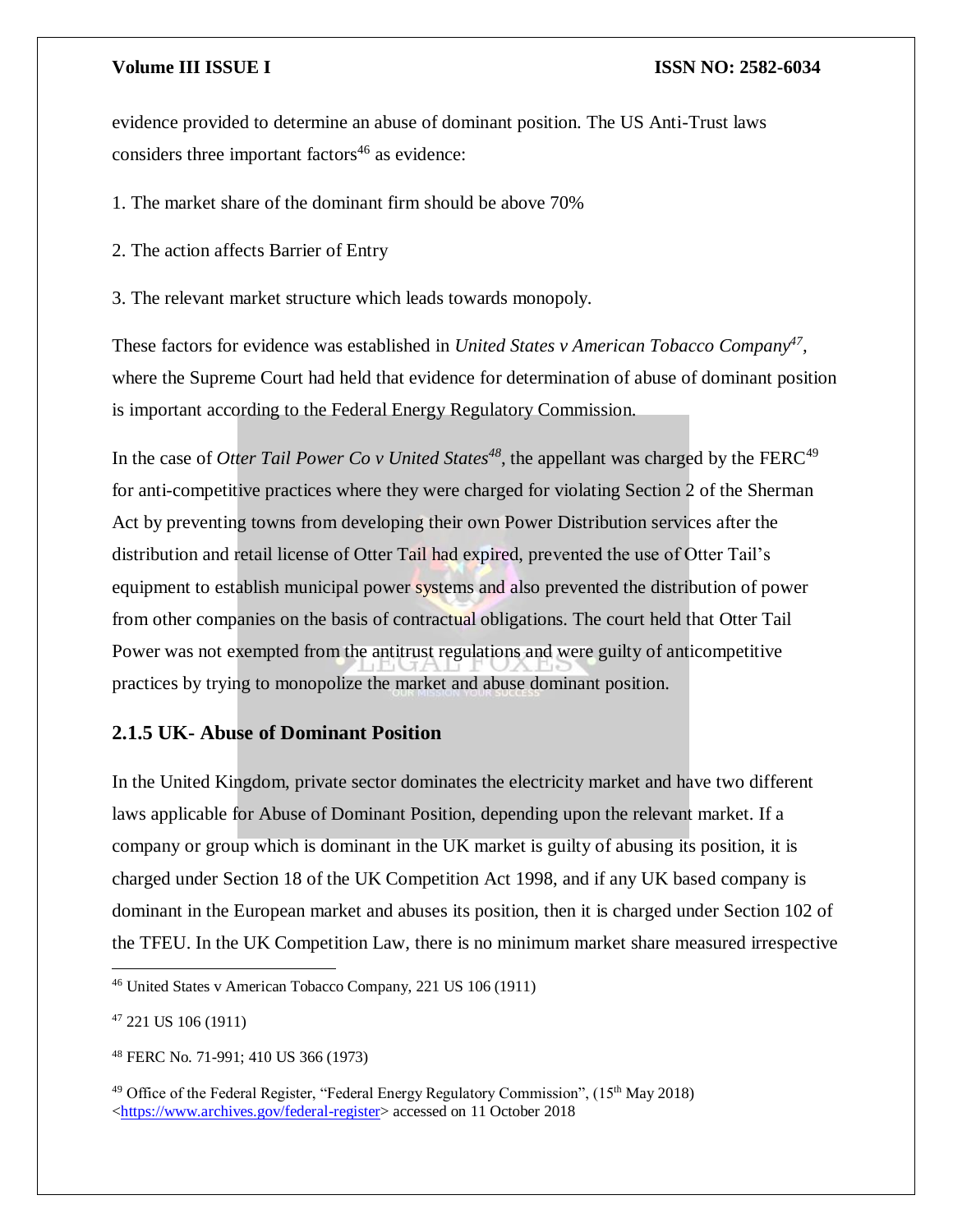evidence provided to determine an abuse of dominant position. The US Anti-Trust laws considers three important factors $46$  as evidence:

- 1. The market share of the dominant firm should be above 70%
- 2. The action affects Barrier of Entry
- 3. The relevant market structure which leads towards monopoly.

These factors for evidence was established in *United States v American Tobacco Company<sup>47</sup> ,*  where the Supreme Court had held that evidence for determination of abuse of dominant position is important according to the Federal Energy Regulatory Commission.

In the case of *Otter Tail Power Co v United States*<sup>48</sup>, the appellant was charged by the FERC<sup>49</sup> for anti-competitive practices where they were charged for violating Section 2 of the Sherman Act by preventing towns from developing their own Power Distribution services after the distribution and retail license of Otter Tail had expired, prevented the use of Otter Tail's equipment to establish municipal power systems and also prevented the distribution of power from other companies on the basis of contractual obligations. The court held that Otter Tail Power was not exempted from the antitrust regulations and were guilty of anticompetitive practices by trying to monopolize the market and abuse dominant position.

## **2.1.5 UK- Abuse of Dominant Position**

In the United Kingdom, private sector dominates the electricity market and have two different laws applicable for Abuse of Dominant Position, depending upon the relevant market. If a company or group which is dominant in the UK market is guilty of abusing its position, it is charged under Section 18 of the UK Competition Act 1998, and if any UK based company is dominant in the European market and abuses its position, then it is charged under Section 102 of the TFEU. In the UK Competition Law, there is no minimum market share measured irrespective

 $\overline{a}$ 

<sup>46</sup> United States v American Tobacco Company, 221 US 106 (1911)

<sup>47</sup> 221 US 106 (1911)

<sup>48</sup> FERC No. 71-991; 410 US 366 (1973)

<sup>&</sup>lt;sup>49</sup> Office of the Federal Register, "Federal Energy Regulatory Commission", (15<sup>th</sup> May 2018) [<https://www.archives.gov/federal-register>](https://www.archives.gov/federal-register) accessed on 11 October 2018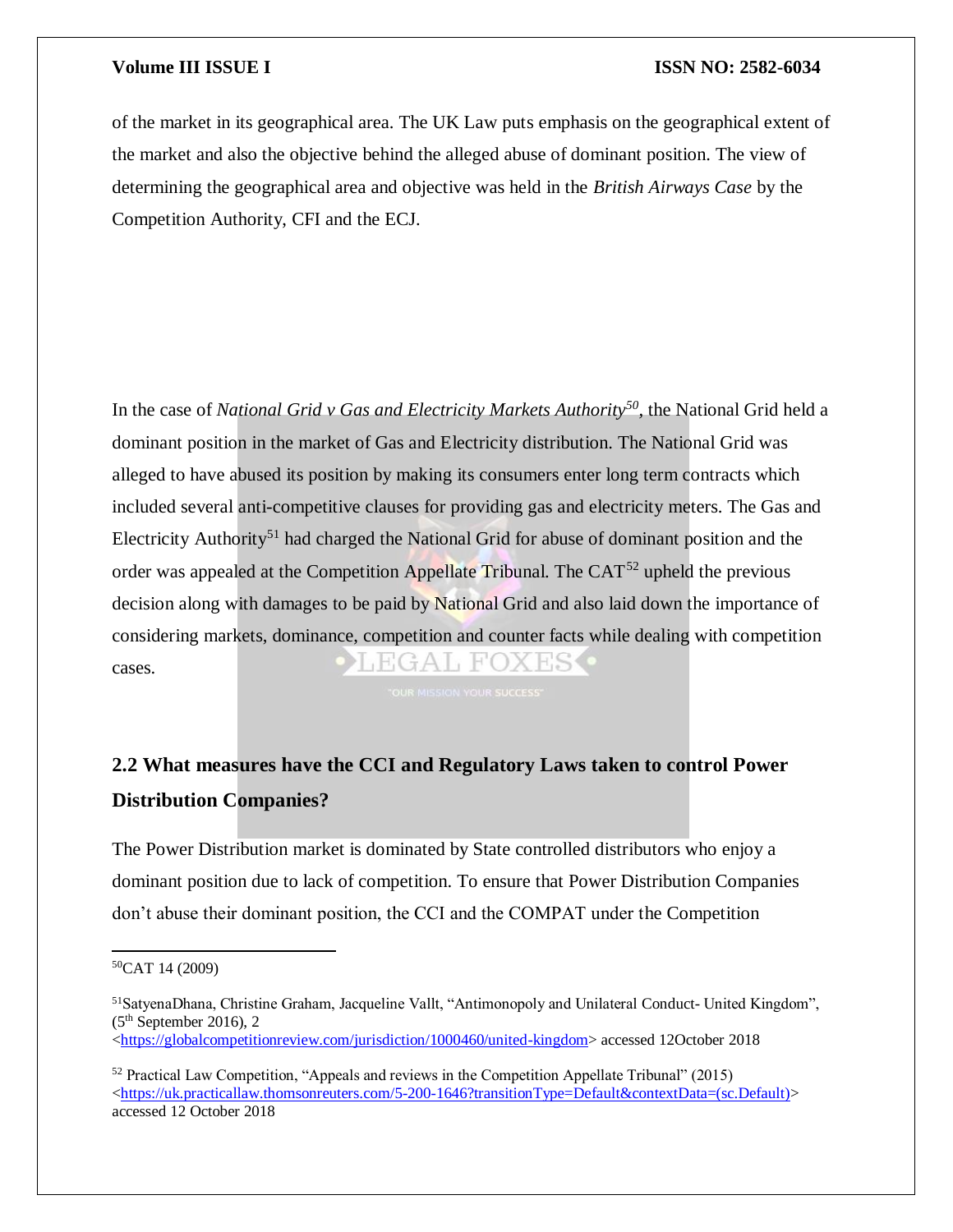of the market in its geographical area. The UK Law puts emphasis on the geographical extent of the market and also the objective behind the alleged abuse of dominant position. The view of determining the geographical area and objective was held in the *British Airways Case* by the Competition Authority, CFI and the ECJ.

In the case of *National Grid v Gas and Electricity Markets Authority<sup>50</sup> ,* the National Grid held a dominant position in the market of Gas and Electricity distribution. The National Grid was alleged to have abused its position by making its consumers enter long term contracts which included several anti-competitive clauses for providing gas and electricity meters. The Gas and Electricity Authority<sup>51</sup> had charged the National Grid for abuse of dominant position and the order was appealed at the Competition Appellate Tribunal. The  $CAT<sup>52</sup>$  upheld the previous decision along with damages to be paid by National Grid and also laid down the importance of considering markets, dominance, competition and counter facts while dealing with competition EGAL FOXES cases.

# **2.2 What measures have the CCI and Regulatory Laws taken to control Power Distribution Companies?**

The Power Distribution market is dominated by State controlled distributors who enjoy a dominant position due to lack of competition. To ensure that Power Distribution Companies don't abuse their dominant position, the CCI and the COMPAT under the Competition

 $\overline{a}$ 

 ${}^{50}$ CAT 14 (2009)

<sup>51</sup>SatyenaDhana, Christine Graham, Jacqueline Vallt, "Antimonopoly and Unilateral Conduct- United Kingdom",  $(5<sup>th</sup> September 2016)$ , 2 [<https://globalcompetitionreview.com/jurisdiction/1000460/united-kingdom>](https://globalcompetitionreview.com/jurisdiction/1000460/united-kingdom) accessed 12October 2018

<sup>52</sup> Practical Law Competition, "Appeals and reviews in the Competition Appellate Tribunal" (2015) [<https://uk.practicallaw.thomsonreuters.com/5-200-1646?transitionType=Default&contextData=\(sc.Default\)>](https://uk.practicallaw.thomsonreuters.com/5-200-1646?transitionType=Default&contextData=(sc.Default)) accessed 12 October 2018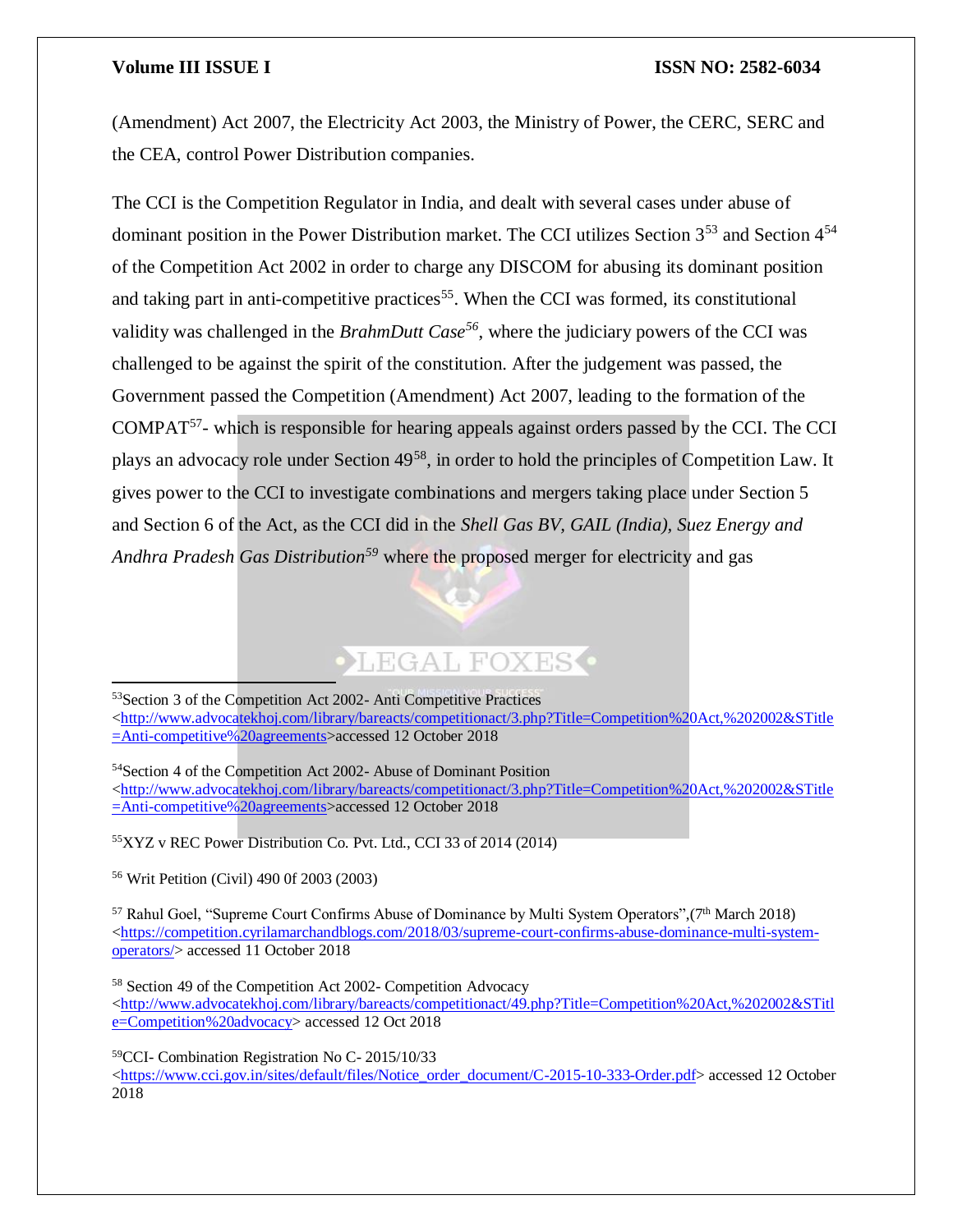(Amendment) Act 2007, the Electricity Act 2003, the Ministry of Power, the CERC, SERC and the CEA, control Power Distribution companies.

The CCI is the Competition Regulator in India, and dealt with several cases under abuse of dominant position in the Power Distribution market. The CCI utilizes Section 3<sup>53</sup> and Section 4<sup>54</sup> of the Competition Act 2002 in order to charge any DISCOM for abusing its dominant position and taking part in anti-competitive practices<sup>55</sup>. When the CCI was formed, its constitutional validity was challenged in the *BrahmDutt Case<sup>56</sup>*, where the judiciary powers of the CCI was challenged to be against the spirit of the constitution. After the judgement was passed, the Government passed the Competition (Amendment) Act 2007, leading to the formation of the  $COMPATH<sup>57</sup>$ - which is responsible for hearing appeals against orders passed by the CCI. The CCI plays an advocacy role under Section 49<sup>58</sup>, in order to hold the principles of Competition Law. It gives power to the CCI to investigate combinations and mergers taking place under Section 5 and Section 6 of the Act, as the CCI did in the *Shell Gas BV, GAIL (India), Suez Energy and Andhra Pradesh Gas Distribution<sup>59</sup>* where the proposed merger for electricity and gas

# **DIEGAL FOXES**

<sup>53</sup>Section 3 of the Competition Act 2002- Anti Competitive Practices [<http://www.advocatekhoj.com/library/bareacts/competitionact/3.php?Title=Competition%20Act,%202002&STitle](http://www.advocatekhoj.com/library/bareacts/competitionact/3.php?Title=Competition%20Act,%202002&STitle=Anti-competitive%20agreements) [=Anti-competitive%20agreements>](http://www.advocatekhoj.com/library/bareacts/competitionact/3.php?Title=Competition%20Act,%202002&STitle=Anti-competitive%20agreements)accessed 12 October 2018

<sup>54</sup>Section 4 of the Competition Act 2002- Abuse of Dominant Position [<http://www.advocatekhoj.com/library/bareacts/competitionact/3.php?Title=Competition%20Act,%202002&STitle](http://www.advocatekhoj.com/library/bareacts/competitionact/3.php?Title=Competition%20Act,%202002&STitle=Anti-competitive%20agreements) [=Anti-competitive%20agreements>](http://www.advocatekhoj.com/library/bareacts/competitionact/3.php?Title=Competition%20Act,%202002&STitle=Anti-competitive%20agreements)accessed 12 October 2018

<sup>55</sup>XYZ v REC Power Distribution Co. Pvt. Ltd., CCI 33 of 2014 (2014)

<sup>56</sup> Writ Petition (Civil) 490 0f 2003 (2003)

 $\overline{a}$ 

<sup>57</sup> Rahul Goel, "Supreme Court Confirms Abuse of Dominance by Multi System Operators",  $(7<sup>th</sup> March 2018)$  $\langle$ https://competition.cyrilamarchandblogs.com/2018/03/supreme-court-confirms-abuse-dominance-multi-system[operators/>](https://competition.cyrilamarchandblogs.com/2018/03/supreme-court-confirms-abuse-dominance-multi-system-operators/) accessed 11 October 2018

<sup>58</sup> Section 49 of the Competition Act 2002- Competition Advocacy  $\langle$ http://www.advocatekhoj.com/library/bareacts/competitionact/49.php?Title=Competition%20Act,%202002&STitl [e=Competition%20advocacy>](http://www.advocatekhoj.com/library/bareacts/competitionact/49.php?Title=Competition%20Act,%202002&STitle=Competition%20advocacy) accessed 12 Oct 2018

<sup>59</sup>CCI- Combination Registration No C- 2015/10/33

[<https://www.cci.gov.in/sites/default/files/Notice\\_order\\_document/C-2015-10-333-Order.pdf>](https://www.cci.gov.in/sites/default/files/Notice_order_document/C-2015-10-333-Order.pdf) accessed 12 October 2018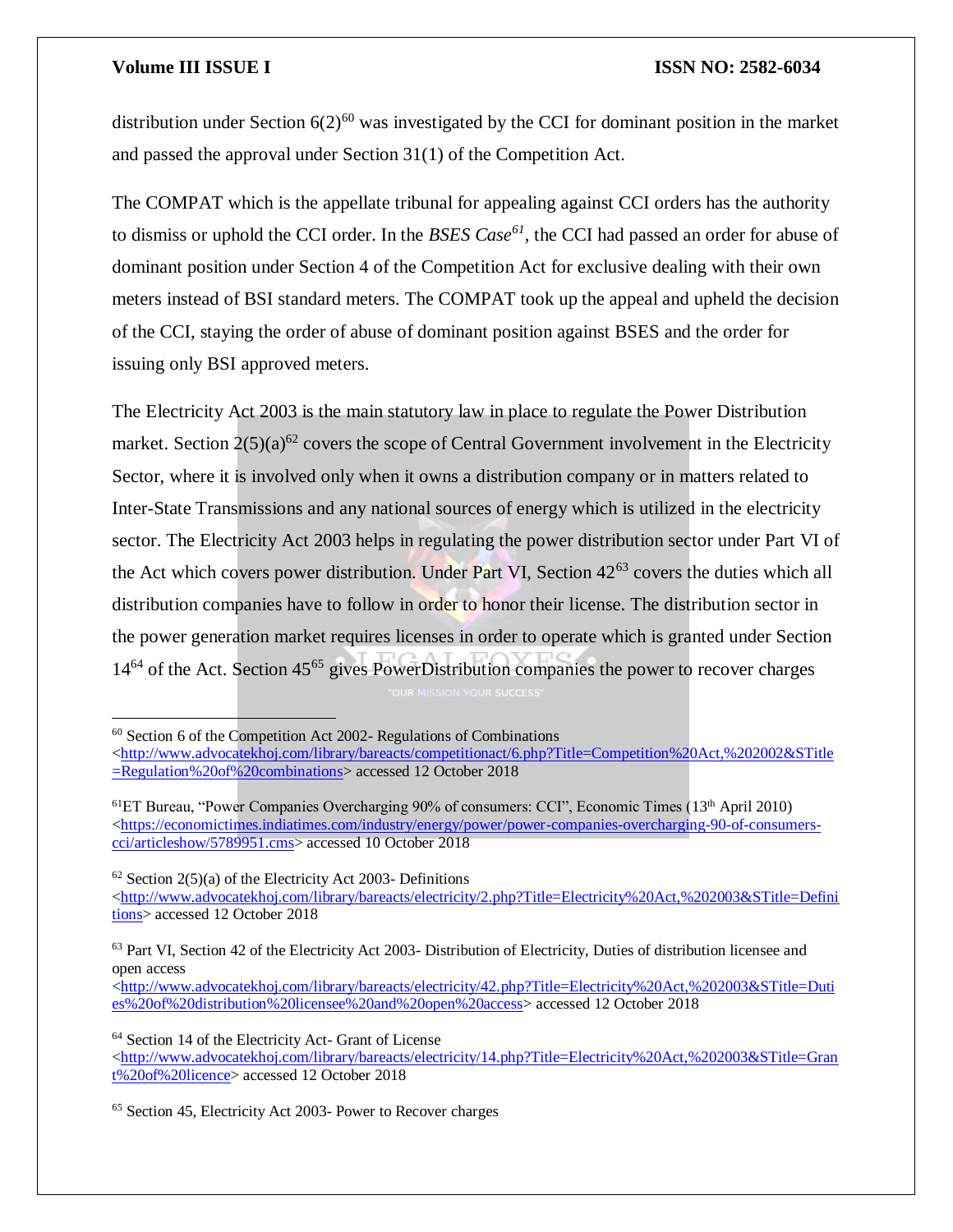$\overline{a}$ 

### **Volume III ISSUE I ISSN NO: 2582-6034**

distribution under Section  $6(2)^{60}$  was investigated by the CCI for dominant position in the market and passed the approval under Section 31(1) of the Competition Act.

The COMPAT which is the appellate tribunal for appealing against CCI orders has the authority to dismiss or uphold the CCI order. In the *BSES Case<sup>61</sup>*, the CCI had passed an order for abuse of dominant position under Section 4 of the Competition Act for exclusive dealing with their own meters instead of BSI standard meters. The COMPAT took up the appeal and upheld the decision of the CCI, staying the order of abuse of dominant position against BSES and the order for issuing only BSI approved meters.

The Electricity Act 2003 is the main statutory law in place to regulate the Power Distribution market. Section  $2(5)(a)^{62}$  covers the scope of Central Government involvement in the Electricity Sector, where it is involved only when it owns a distribution company or in matters related to Inter-State Transmissions and any national sources of energy which is utilized in the electricity sector. The Electricity Act 2003 helps in regulating the power distribution sector under Part VI of the Act which covers power distribution. Under Part VI, Section  $42^{63}$  covers the duties which all distribution companies have to follow in order to honor their license. The distribution sector in the power generation market requires licenses in order to operate which is granted under Section 14<sup>64</sup> of the Act. Section 45<sup>65</sup> gives PowerDistribution companies the power to recover charges

<sup>64</sup> Section 14 of the Electricity Act- Grant of License

<sup>60</sup> Section 6 of the Competition Act 2002- Regulations of Combinations

[<sup>&</sup>lt;http://www.advocatekhoj.com/library/bareacts/competitionact/6.php?Title=Competition%20Act,%202002&STitle](http://www.advocatekhoj.com/library/bareacts/competitionact/6.php?Title=Competition%20Act,%202002&STitle=Regulation%20of%20combinations) [=Regulation%20of%20combinations>](http://www.advocatekhoj.com/library/bareacts/competitionact/6.php?Title=Competition%20Act,%202002&STitle=Regulation%20of%20combinations) accessed 12 October 2018

<sup>61</sup>ET Bureau, "Power Companies Overcharging 90% of consumers: CCI", Economic Times (13th April 2010)  $\langle$ https://economictimes.indiatimes.com/industry/energy/power/power-companies-overcharging-90-of-consumers[cci/articleshow/5789951.cms>](https://economictimes.indiatimes.com/industry/energy/power/power-companies-overcharging-90-of-consumers-cci/articleshow/5789951.cms) accessed 10 October 2018

 $62$  Section 2(5)(a) of the Electricity Act 2003- Definitions [<http://www.advocatekhoj.com/library/bareacts/electricity/2.php?Title=Electricity%20Act,%202003&STitle=Defini](http://www.advocatekhoj.com/library/bareacts/electricity/2.php?Title=Electricity%20Act,%202003&STitle=Definitions) [tions>](http://www.advocatekhoj.com/library/bareacts/electricity/2.php?Title=Electricity%20Act,%202003&STitle=Definitions) accessed 12 October 2018

<sup>63</sup> Part VI, Section 42 of the Electricity Act 2003- Distribution of Electricity, Duties of distribution licensee and open access

[<sup>&</sup>lt;http://www.advocatekhoj.com/library/bareacts/electricity/42.php?Title=Electricity%20Act,%202003&STitle=Duti](http://www.advocatekhoj.com/library/bareacts/electricity/42.php?Title=Electricity%20Act,%202003&STitle=Duties%20of%20distribution%20licensee%20and%20open%20access) [es%20of%20distribution%20licensee%20and%20open%20access>](http://www.advocatekhoj.com/library/bareacts/electricity/42.php?Title=Electricity%20Act,%202003&STitle=Duties%20of%20distribution%20licensee%20and%20open%20access) accessed 12 October 2018

 $\langle$ http://www.advocatekhoj.com/library/bareacts/electricity/14.php?Title=Electricity%20Act,%202003&STitle=Gran [t%20of%20licence>](http://www.advocatekhoj.com/library/bareacts/electricity/14.php?Title=Electricity%20Act,%202003&STitle=Grant%20of%20licence) accessed 12 October 2018

<sup>65</sup> Section 45, Electricity Act 2003- Power to Recover charges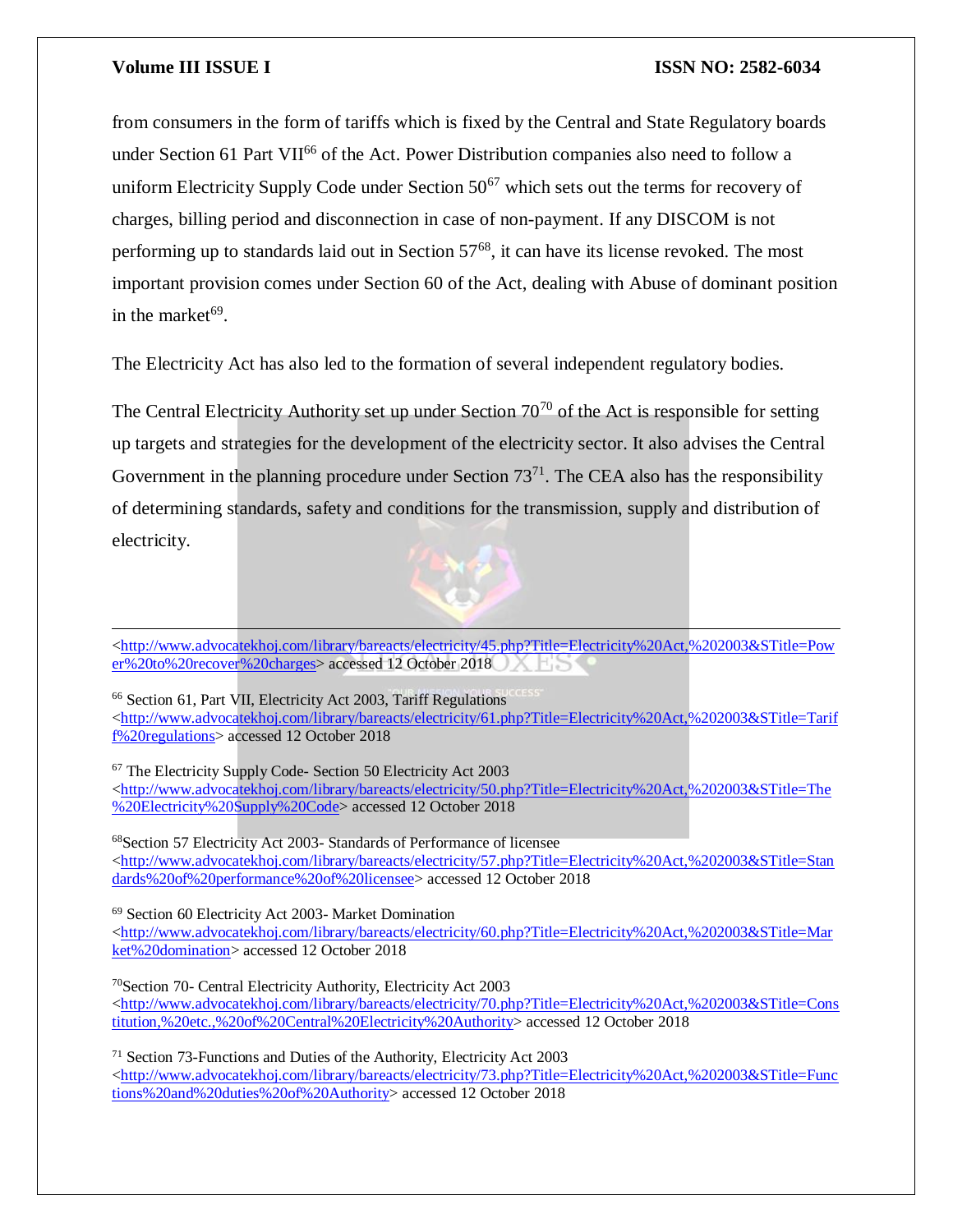from consumers in the form of tariffs which is fixed by the Central and State Regulatory boards under Section 61 Part VII<sup>66</sup> of the Act. Power Distribution companies also need to follow a uniform Electricity Supply Code under Section  $50^{67}$  which sets out the terms for recovery of charges, billing period and disconnection in case of non-payment. If any DISCOM is not performing up to standards laid out in Section 57<sup>68</sup>, it can have its license revoked. The most important provision comes under Section 60 of the Act, dealing with Abuse of dominant position in the market<sup>69</sup>.

The Electricity Act has also led to the formation of several independent regulatory bodies.

The Central Electricity Authority set up under Section  $70^{70}$  of the Act is responsible for setting up targets and strategies for the development of the electricity sector. It also advises the Central Government in the planning procedure under Section  $73<sup>71</sup>$ . The CEA also has the responsibility of determining standards, safety and conditions for the transmission, supply and distribution of electricity.



 $\overline{\phantom{a}}$ [<http://www.advocatekhoj.com/library/bareacts/electricity/45.php?Title=Electricity%20Act,%202003&STitle=Pow](http://www.advocatekhoj.com/library/bareacts/electricity/45.php?Title=Electricity%20Act,%202003&STitle=Power%20to%20recover%20charges) [er%20to%20recover%20charges>](http://www.advocatekhoj.com/library/bareacts/electricity/45.php?Title=Electricity%20Act,%202003&STitle=Power%20to%20recover%20charges) accessed 12 October 2018

<sup>66</sup> Section 61, Part VII, Electricity Act 2003, Tariff Regulations [<http://www.advocatekhoj.com/library/bareacts/electricity/61.php?Title=Electricity%20Act,%202003&STitle=Tarif](http://www.advocatekhoj.com/library/bareacts/electricity/61.php?Title=Electricity%20Act,%202003&STitle=Tariff%20regulations) [f%20regulations>](http://www.advocatekhoj.com/library/bareacts/electricity/61.php?Title=Electricity%20Act,%202003&STitle=Tariff%20regulations) accessed 12 October 2018

<sup>67</sup> The Electricity Supply Code- Section 50 Electricity Act 2003 [<http://www.advocatekhoj.com/library/bareacts/electricity/50.php?Title=Electricity%20Act,%202003&STitle=The](http://www.advocatekhoj.com/library/bareacts/electricity/50.php?Title=Electricity%20Act,%202003&STitle=The%20Electricity%20Supply%20Code) [%20Electricity%20Supply%20Code>](http://www.advocatekhoj.com/library/bareacts/electricity/50.php?Title=Electricity%20Act,%202003&STitle=The%20Electricity%20Supply%20Code) accessed 12 October 2018

<sup>68</sup>Section 57 Electricity Act 2003- Standards of Performance of licensee [<http://www.advocatekhoj.com/library/bareacts/electricity/57.php?Title=Electricity%20Act,%202003&STitle=Stan](http://www.advocatekhoj.com/library/bareacts/electricity/57.php?Title=Electricity%20Act,%202003&STitle=Standards%20of%20performance%20of%20licensee) [dards%20of%20performance%20of%20licensee>](http://www.advocatekhoj.com/library/bareacts/electricity/57.php?Title=Electricity%20Act,%202003&STitle=Standards%20of%20performance%20of%20licensee) accessed 12 October 2018

<sup>69</sup> Section 60 Electricity Act 2003- Market Domination [<http://www.advocatekhoj.com/library/bareacts/electricity/60.php?Title=Electricity%20Act,%202003&STitle=Mar](http://www.advocatekhoj.com/library/bareacts/electricity/60.php?Title=Electricity%20Act,%202003&STitle=Market%20domination) [ket%20domination>](http://www.advocatekhoj.com/library/bareacts/electricity/60.php?Title=Electricity%20Act,%202003&STitle=Market%20domination) accessed 12 October 2018

<sup>70</sup>Section 70- Central Electricity Authority, Electricity Act 2003 [<http://www.advocatekhoj.com/library/bareacts/electricity/70.php?Title=Electricity%20Act,%202003&STitle=Cons](http://www.advocatekhoj.com/library/bareacts/electricity/70.php?Title=Electricity%20Act,%202003&STitle=Constitution,%20etc.,%20of%20Central%20Electricity%20Authority) [titution,%20etc.,%20of%20Central%20Electricity%20Authority>](http://www.advocatekhoj.com/library/bareacts/electricity/70.php?Title=Electricity%20Act,%202003&STitle=Constitution,%20etc.,%20of%20Central%20Electricity%20Authority) accessed 12 October 2018

<sup>71</sup> Section 73-Functions and Duties of the Authority, Electricity Act 2003 [<http://www.advocatekhoj.com/library/bareacts/electricity/73.php?Title=Electricity%20Act,%202003&STitle=Func](http://www.advocatekhoj.com/library/bareacts/electricity/73.php?Title=Electricity%20Act,%202003&STitle=Functions%20and%20duties%20of%20Authority) [tions%20and%20duties%20of%20Authority>](http://www.advocatekhoj.com/library/bareacts/electricity/73.php?Title=Electricity%20Act,%202003&STitle=Functions%20and%20duties%20of%20Authority) accessed 12 October 2018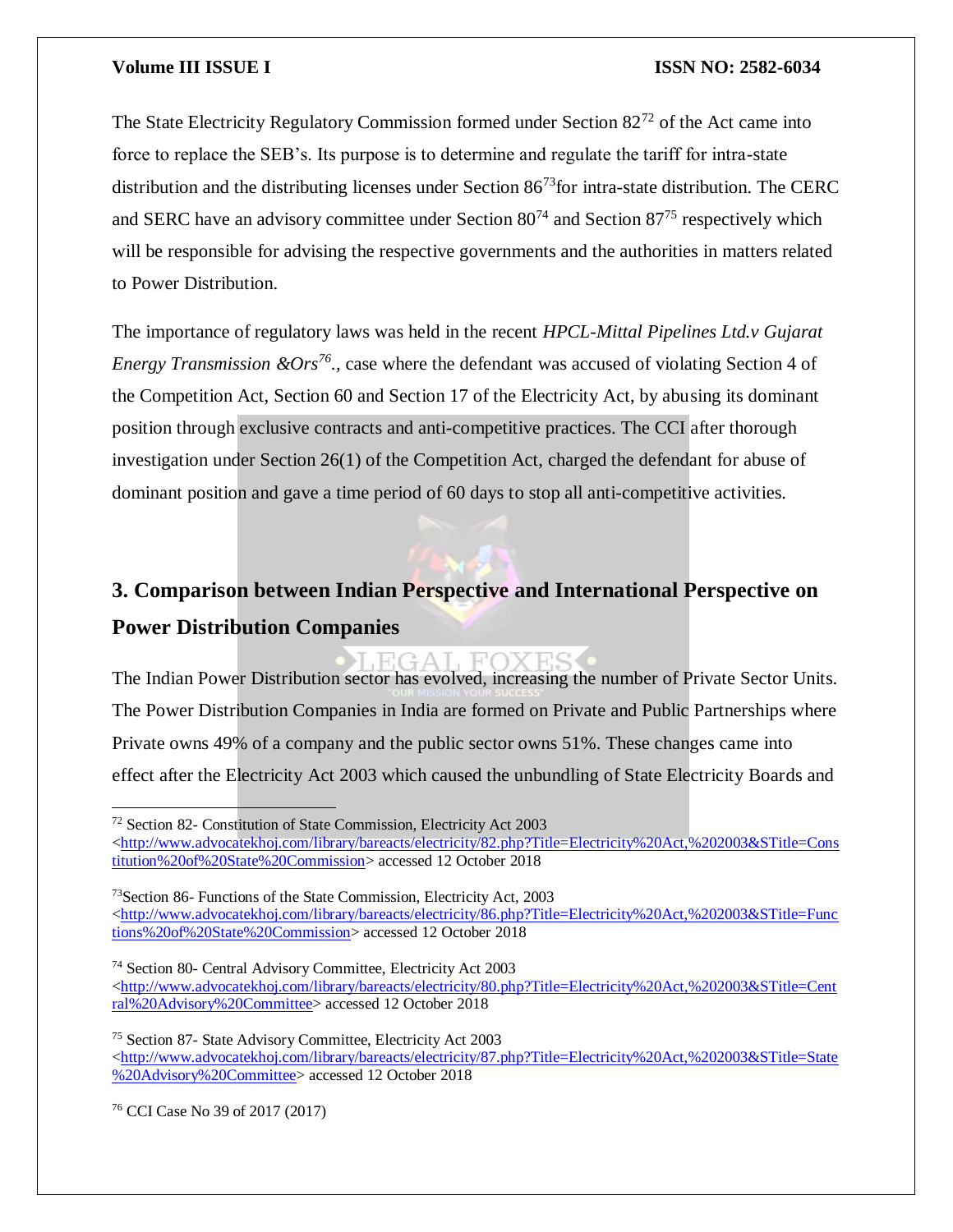The State Electricity Regulatory Commission formed under Section  $82^{72}$  of the Act came into force to replace the SEB's. Its purpose is to determine and regulate the tariff for intra-state distribution and the distributing licenses under Section 86<sup>73</sup> for intra-state distribution. The CERC and SERC have an advisory committee under Section  $80^{74}$  and Section  $87^{75}$  respectively which will be responsible for advising the respective governments and the authorities in matters related to Power Distribution.

The importance of regulatory laws was held in the recent *HPCL-Mittal Pipelines Ltd.v Gujarat Energy Transmission &Ors<sup>76</sup> .,* case where the defendant was accused of violating Section 4 of the Competition Act, Section 60 and Section 17 of the Electricity Act, by abusing its dominant position through exclusive contracts and anti-competitive practices. The CCI after thorough investigation under Section 26(1) of the Competition Act, charged the defendant for abuse of dominant position and gave a time period of 60 days to stop all anti-competitive activities.

# **3. Comparison between Indian Perspective and International Perspective on Power Distribution Companies**

The Indian Power Distribution sector has evolved, increasing the number of Private Sector Units. The Power Distribution Companies in India are formed on Private and Public Partnerships where Private owns 49% of a company and the public sector owns 51%. These changes came into effect after the Electricity Act 2003 which caused the unbundling of State Electricity Boards and

- <sup>73</sup>Section 86- Functions of the State Commission, Electricity Act, 2003 [<http://www.advocatekhoj.com/library/bareacts/electricity/86.php?Title=Electricity%20Act,%202003&STitle=Func](http://www.advocatekhoj.com/library/bareacts/electricity/86.php?Title=Electricity%20Act,%202003&STitle=Functions%20of%20State%20Commission) [tions%20of%20State%20Commission>](http://www.advocatekhoj.com/library/bareacts/electricity/86.php?Title=Electricity%20Act,%202003&STitle=Functions%20of%20State%20Commission) accessed 12 October 2018
- <sup>74</sup> Section 80- Central Advisory Committee, Electricity Act 2003 [<http://www.advocatekhoj.com/library/bareacts/electricity/80.php?Title=Electricity%20Act,%202003&STitle=Cent](http://www.advocatekhoj.com/library/bareacts/electricity/80.php?Title=Electricity%20Act,%202003&STitle=Central%20Advisory%20Committee) [ral%20Advisory%20Committee>](http://www.advocatekhoj.com/library/bareacts/electricity/80.php?Title=Electricity%20Act,%202003&STitle=Central%20Advisory%20Committee) accessed 12 October 2018

<sup>75</sup> Section 87- State Advisory Committee, Electricity Act 2003 [<http://www.advocatekhoj.com/library/bareacts/electricity/87.php?Title=Electricity%20Act,%202003&STitle=State](http://www.advocatekhoj.com/library/bareacts/electricity/87.php?Title=Electricity%20Act,%202003&STitle=State%20Advisory%20Committee) [%20Advisory%20Committee>](http://www.advocatekhoj.com/library/bareacts/electricity/87.php?Title=Electricity%20Act,%202003&STitle=State%20Advisory%20Committee) accessed 12 October 2018

<sup>76</sup> CCI Case No 39 of 2017 (2017)

 $\overline{a}$ 

<sup>72</sup> Section 82- Constitution of State Commission, Electricity Act 2003 [<http://www.advocatekhoj.com/library/bareacts/electricity/82.php?Title=Electricity%20Act,%202003&STitle=Cons](http://www.advocatekhoj.com/library/bareacts/electricity/82.php?Title=Electricity%20Act,%202003&STitle=Constitution%20of%20State%20Commission) [titution%20of%20State%20Commission>](http://www.advocatekhoj.com/library/bareacts/electricity/82.php?Title=Electricity%20Act,%202003&STitle=Constitution%20of%20State%20Commission) accessed 12 October 2018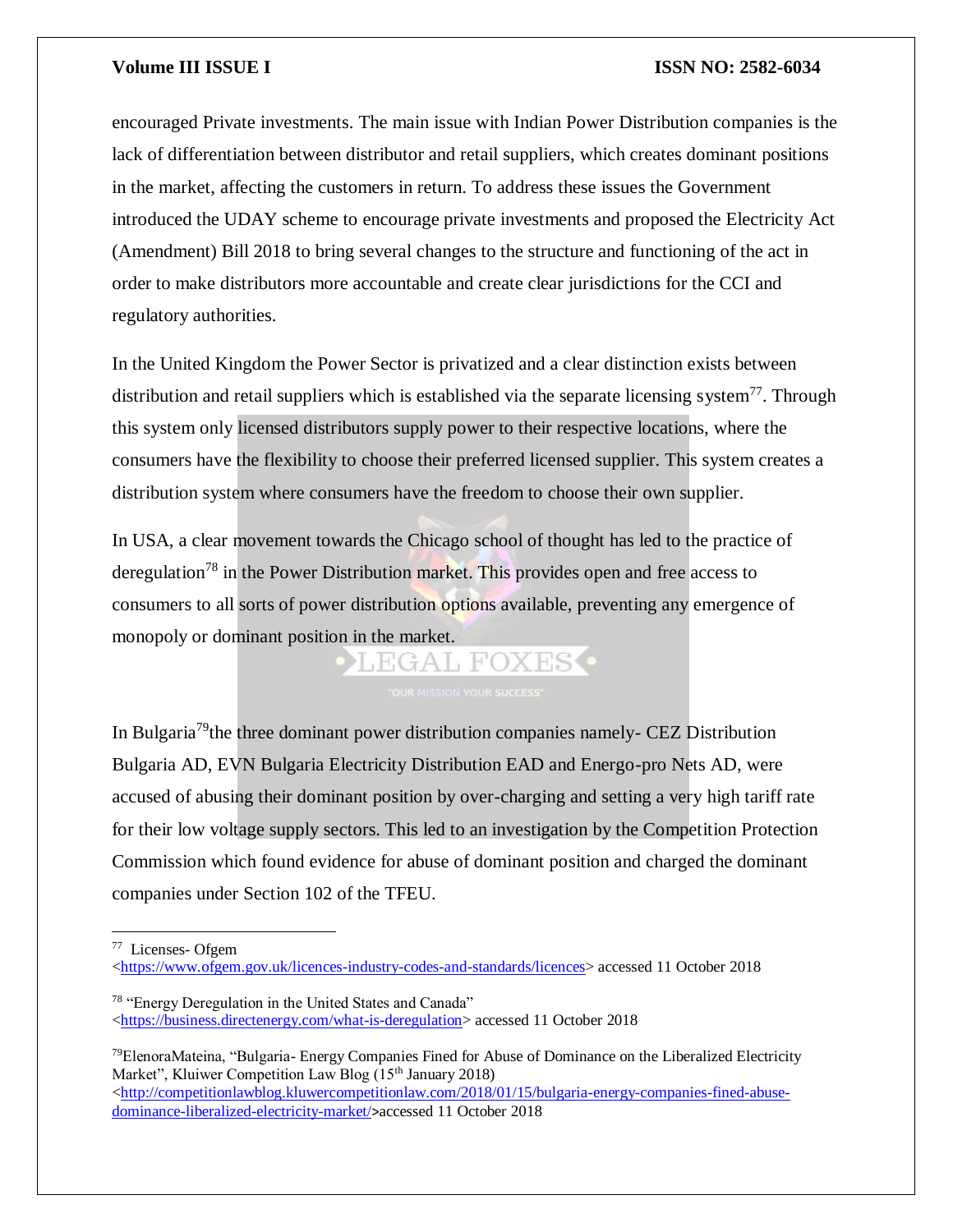encouraged Private investments. The main issue with Indian Power Distribution companies is the lack of differentiation between distributor and retail suppliers, which creates dominant positions in the market, affecting the customers in return. To address these issues the Government introduced the UDAY scheme to encourage private investments and proposed the Electricity Act (Amendment) Bill 2018 to bring several changes to the structure and functioning of the act in order to make distributors more accountable and create clear jurisdictions for the CCI and regulatory authorities.

In the United Kingdom the Power Sector is privatized and a clear distinction exists between distribution and retail suppliers which is established via the separate licensing system<sup>77</sup>. Through this system only licensed distributors supply power to their respective locations, where the consumers have the flexibility to choose their preferred licensed supplier. This system creates a distribution system where consumers have the freedom to choose their own supplier.

In USA, a clear movement towards the Chicago school of thought has led to the practice of deregulation<sup>78</sup> in the Power Distribution market. This provides open and free access to consumers to all sorts of power distribution options available, preventing any emergence of monopoly or dominant position in the market.

LEGAL FOXES<sup>.</sup>

In Bulgaria<sup>79</sup>the three dominant power distribution companies namely- CEZ Distribution Bulgaria AD, EVN Bulgaria Electricity Distribution EAD and Energo-pro Nets AD, were accused of abusing their dominant position by over-charging and setting a very high tariff rate for their low voltage supply sectors. This led to an investigation by the Competition Protection Commission which found evidence for abuse of dominant position and charged the dominant companies under Section 102 of the TFEU.

 $\overline{\phantom{a}}$ 

 $79$ ElenoraMateina, "Bulgaria- Energy Companies Fined for Abuse of Dominance on the Liberalized Electricity Market", Kluiwer Competition Law Blog (15<sup>th</sup> January 2018)  $\langle$ http://competitionlawblog.kluwercompetitionlaw.com/2018/01/15/bulgaria-energy-companies-fined-abuse[dominance-liberalized-electricity-market/](http://competitionlawblog.kluwercompetitionlaw.com/2018/01/15/bulgaria-energy-companies-fined-abuse-dominance-liberalized-electricity-market/)>accessed 11 October 2018

<sup>77</sup> Licenses- Ofgem

[<sup>&</sup>lt;https://www.ofgem.gov.uk/licences-industry-codes-and-standards/licences>](https://www.ofgem.gov.uk/licences-industry-codes-and-standards/licences) accessed 11 October 2018

<sup>78</sup> "Energy Deregulation in the United States and Canada" [<https://business.directenergy.com/what-is-deregulation>](https://business.directenergy.com/what-is-deregulation) accessed 11 October 2018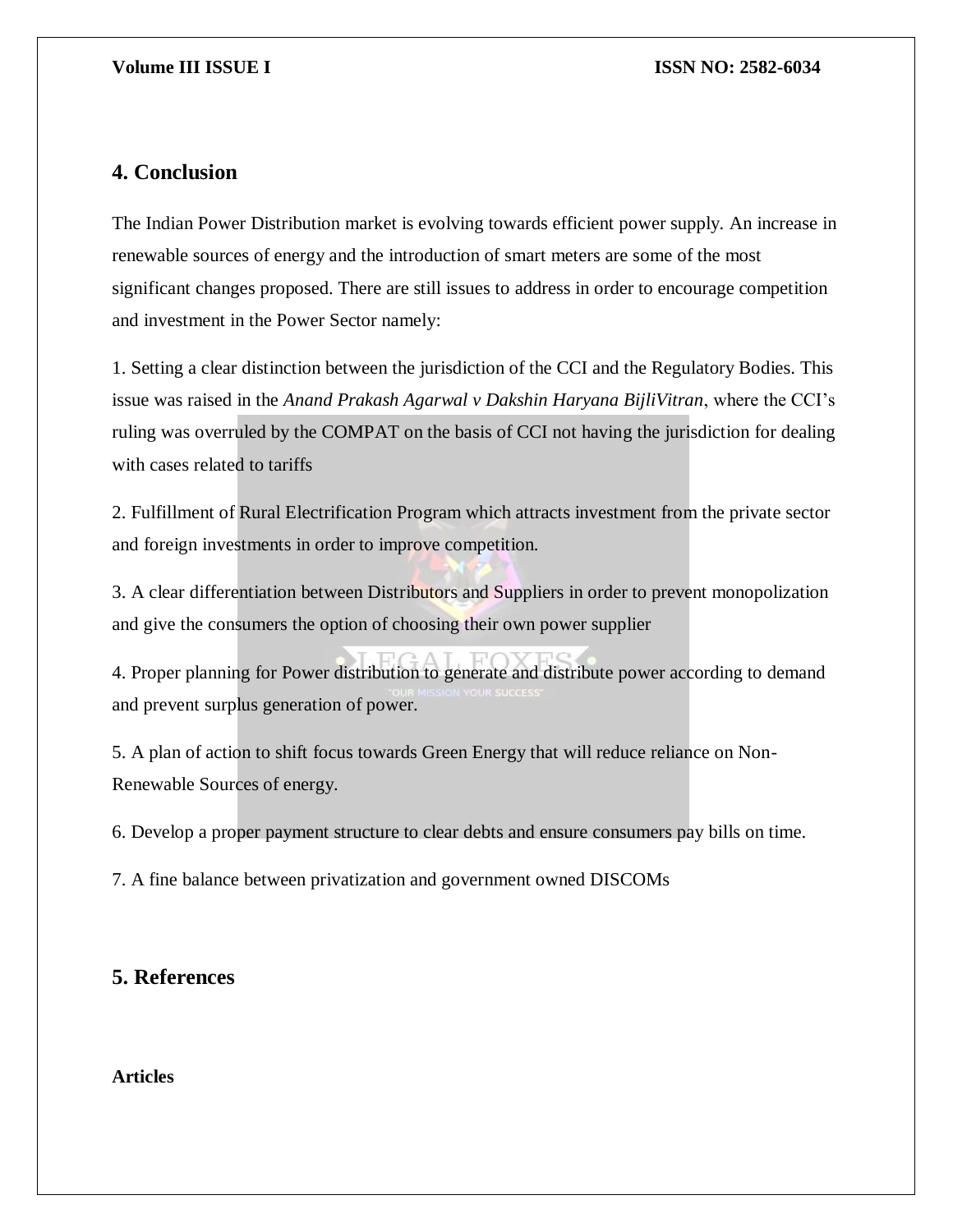## **4. Conclusion**

The Indian Power Distribution market is evolving towards efficient power supply. An increase in renewable sources of energy and the introduction of smart meters are some of the most significant changes proposed. There are still issues to address in order to encourage competition and investment in the Power Sector namely:

1. Setting a clear distinction between the jurisdiction of the CCI and the Regulatory Bodies. This issue was raised in the *Anand Prakash Agarwal v Dakshin Haryana BijliVitran*, where the CCI's ruling was overruled by the COMPAT on the basis of CCI not having the jurisdiction for dealing with cases related to tariffs

2. Fulfillment of Rural Electrification Program which attracts investment from the private sector and foreign investments in order to improve competition.

3. A clear differentiation between Distributors and Suppliers in order to prevent monopolization and give the consumers the option of choosing their own power supplier

4. Proper planning for Power distribution to generate and distribute power according to demand and prevent surplus generation of power.

5. A plan of action to shift focus towards Green Energy that will reduce reliance on Non-Renewable Sources of energy.

6. Develop a proper payment structure to clear debts and ensure consumers pay bills on time.

7. A fine balance between privatization and government owned DISCOMs

## **5. References**

## **Articles**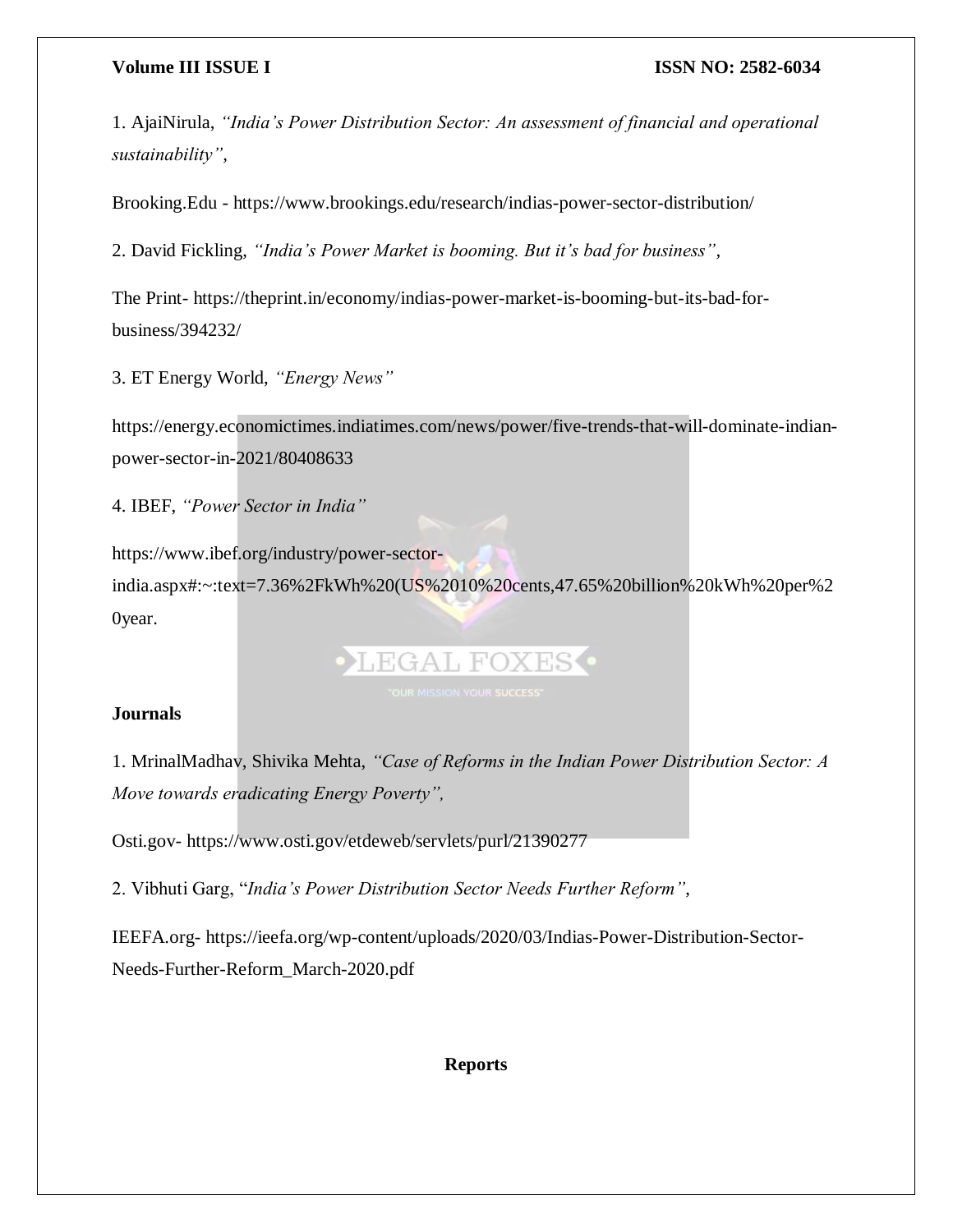1. AjaiNirula, *"India's Power Distribution Sector: An assessment of financial and operational sustainability",* 

Brooking.Edu - https://www.brookings.edu/research/indias-power-sector-distribution/

2. David Fickling, *"India's Power Market is booming. But it's bad for business",*

The Print- https://theprint.in/economy/indias-power-market-is-booming-but-its-bad-forbusiness/394232/

3. ET Energy World, *"Energy News"*

https://energy.economictimes.indiatimes.com/news/power/five-trends-that-will-dominate-indianpower-sector-in-2021/80408633

4. IBEF, *"Power Sector in India"*

https://www.ibef.org/industry/power-sectorindia.aspx#:~:text=7.36%2FkWh%20(US%2010%20cents,47.65%20billion%20kWh%20per%2 0year.

LEGAL FOXES .

## **Journals**

1. MrinalMadhav, Shivika Mehta, *"Case of Reforms in the Indian Power Distribution Sector: A Move towards eradicating Energy Poverty",*

Osti.gov- https://www.osti.gov/etdeweb/servlets/purl/21390277

2. Vibhuti Garg, "*India's Power Distribution Sector Needs Further Reform"*,

IEEFA.org- https://ieefa.org/wp-content/uploads/2020/03/Indias-Power-Distribution-Sector-Needs-Further-Reform\_March-2020.pdf

## **Reports**